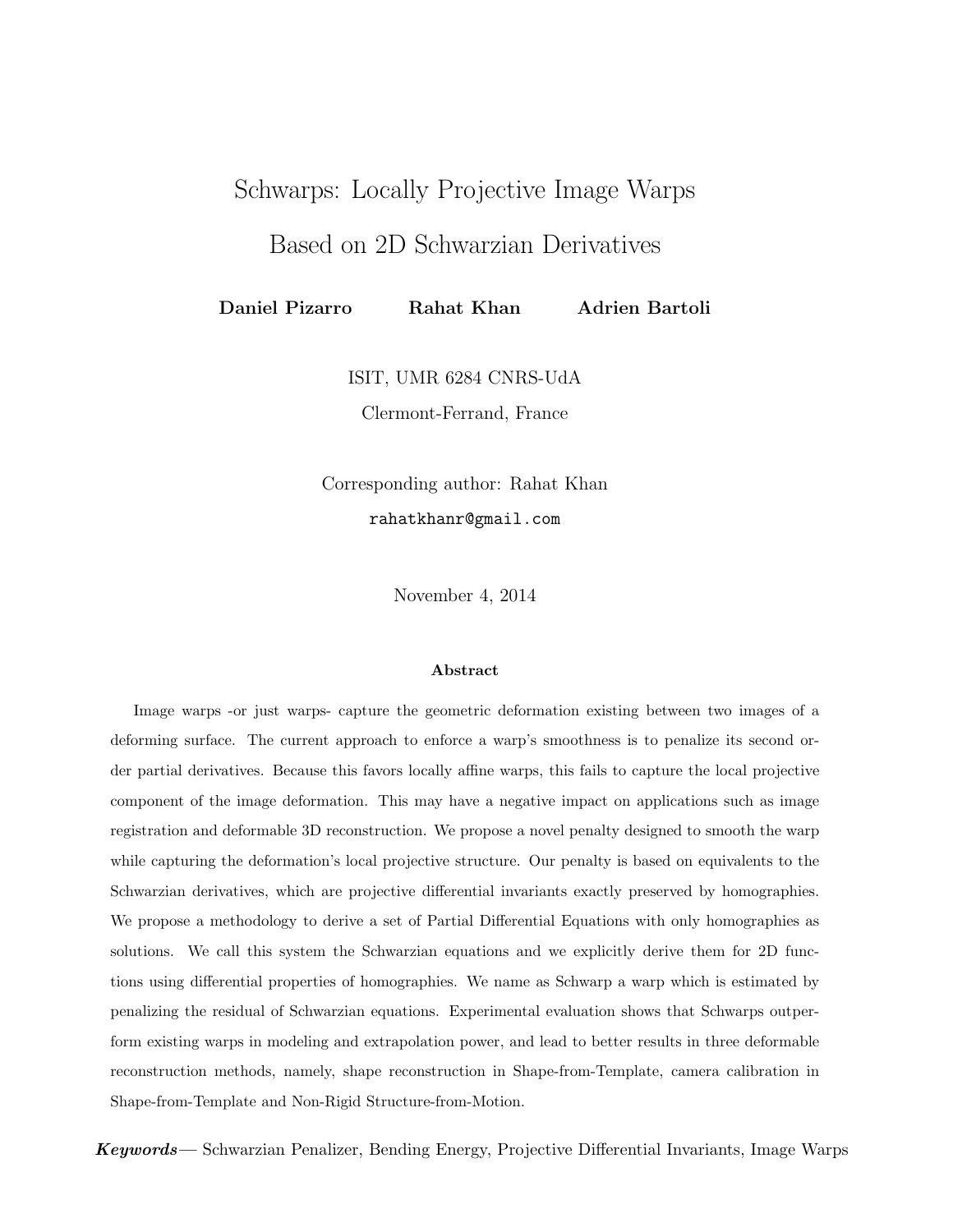# Schwarps: Locally Projective Image Warps

Based on 2D Schwarzian Derivatives

Daniel Pizarro Rahat Khan Adrien Bartoli

ISIT, UMR 6284 CNRS-UdA

Clermont-Ferrand, France

Corresponding author: Rahat Khan rahatkhanr@gmail.com

November 4, 2014

#### Abstract

Image warps -or just warps- capture the geometric deformation existing between two images of a deforming surface. The current approach to enforce a warp's smoothness is to penalize its second order partial derivatives. Because this favors locally affine warps, this fails to capture the local projective component of the image deformation. This may have a negative impact on applications such as image registration and deformable 3D reconstruction. We propose a novel penalty designed to smooth the warp while capturing the deformation's local projective structure. Our penalty is based on equivalents to the Schwarzian derivatives, which are projective differential invariants exactly preserved by homographies. We propose a methodology to derive a set of Partial Differential Equations with only homographies as solutions. We call this system the Schwarzian equations and we explicitly derive them for 2D functions using differential properties of homographies. We name as Schwarp a warp which is estimated by penalizing the residual of Schwarzian equations. Experimental evaluation shows that Schwarps outperform existing warps in modeling and extrapolation power, and lead to better results in three deformable reconstruction methods, namely, shape reconstruction in Shape-from-Template, camera calibration in Shape-from-Template and Non-Rigid Structure-from-Motion.

Keywords— Schwarzian Penalizer, Bending Energy, Projective Differential Invariants, Image Warps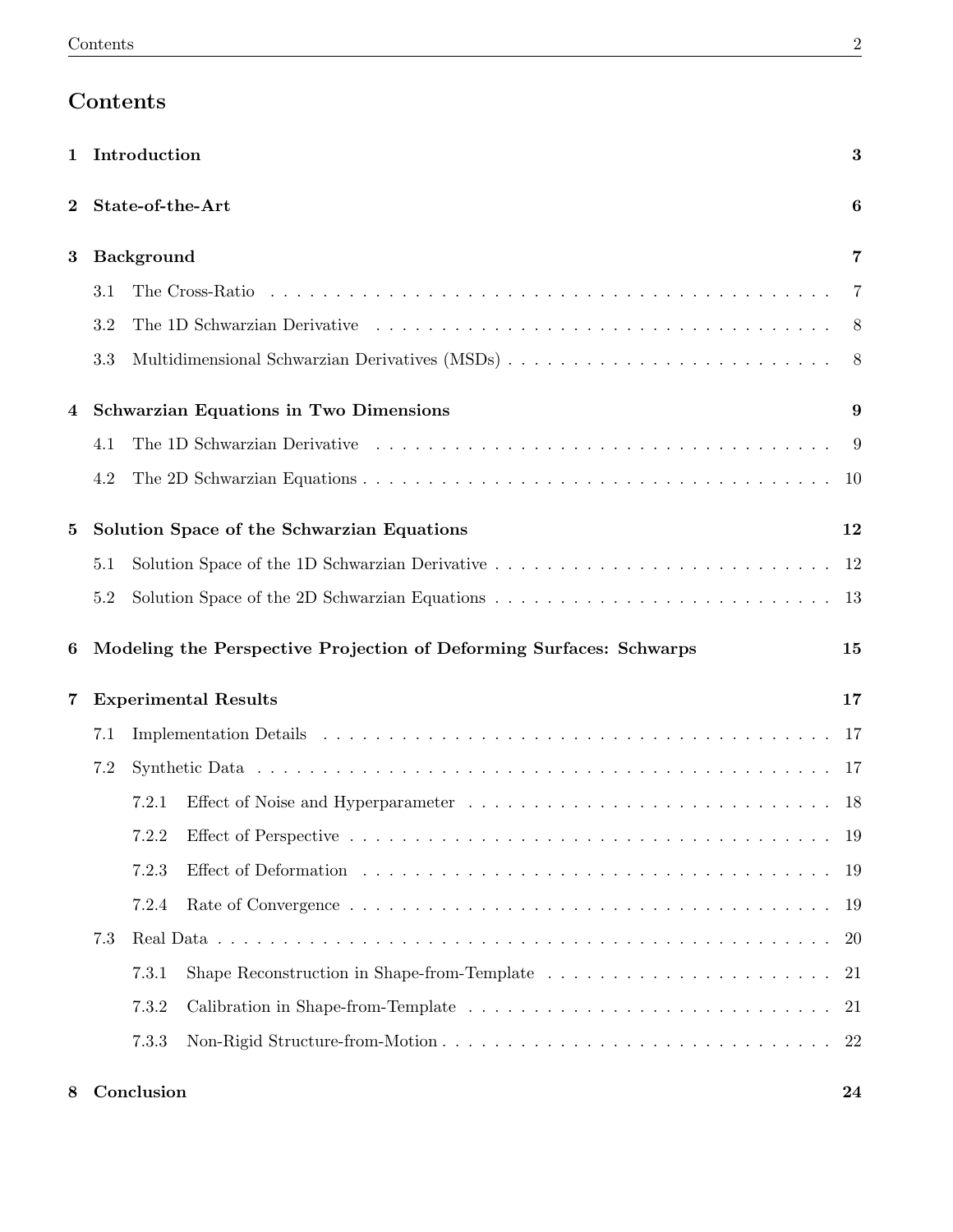# Contents

| 1        | Introduction     |       |                                                                     |                |  |  |  |  |
|----------|------------------|-------|---------------------------------------------------------------------|----------------|--|--|--|--|
| $\bf{2}$ | State-of-the-Art |       |                                                                     |                |  |  |  |  |
| 3        | Background       |       |                                                                     |                |  |  |  |  |
|          | 3.1              |       |                                                                     |                |  |  |  |  |
|          | 3.2              |       |                                                                     | $8^{\circ}$    |  |  |  |  |
|          | 3.3              |       |                                                                     | 8 <sup>8</sup> |  |  |  |  |
| 4        |                  |       | <b>Schwarzian Equations in Two Dimensions</b>                       | 9              |  |  |  |  |
|          | 4.1              |       |                                                                     | -9             |  |  |  |  |
|          | 4.2              |       |                                                                     | -10            |  |  |  |  |
| 5        |                  |       | Solution Space of the Schwarzian Equations                          | 12             |  |  |  |  |
|          | 5.1              |       |                                                                     | 12             |  |  |  |  |
| 5.2      |                  |       |                                                                     |                |  |  |  |  |
| 6        |                  |       | Modeling the Perspective Projection of Deforming Surfaces: Schwarps | 15             |  |  |  |  |
| 7        |                  |       | <b>Experimental Results</b>                                         | 17             |  |  |  |  |
|          | 7.1              |       |                                                                     | -17            |  |  |  |  |
|          | 7.2              |       |                                                                     |                |  |  |  |  |
|          |                  |       |                                                                     |                |  |  |  |  |
|          |                  | 7.2.1 |                                                                     | - 18           |  |  |  |  |
|          |                  |       |                                                                     | 19             |  |  |  |  |
|          |                  | 7.2.3 |                                                                     | -19            |  |  |  |  |
|          |                  | 7.2.4 |                                                                     | -19            |  |  |  |  |
|          | 7.3              |       |                                                                     | <b>20</b>      |  |  |  |  |
|          |                  | 7.3.1 |                                                                     | 21             |  |  |  |  |
|          |                  | 7.3.2 |                                                                     | -21            |  |  |  |  |

8 Conclusion 24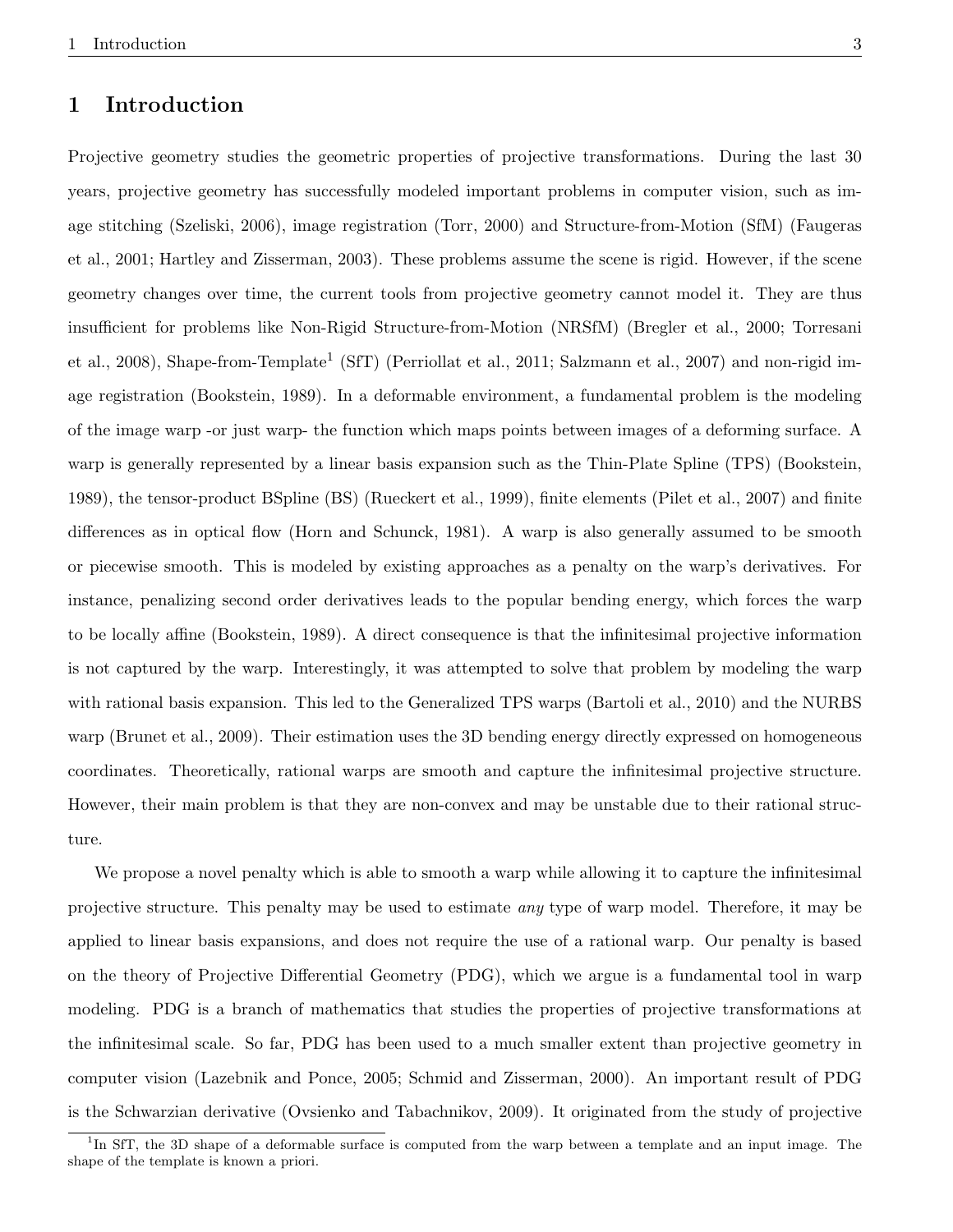## 1 Introduction

Projective geometry studies the geometric properties of projective transformations. During the last 30 years, projective geometry has successfully modeled important problems in computer vision, such as image stitching (Szeliski, 2006), image registration (Torr, 2000) and Structure-from-Motion (SfM) (Faugeras et al., 2001; Hartley and Zisserman, 2003). These problems assume the scene is rigid. However, if the scene geometry changes over time, the current tools from projective geometry cannot model it. They are thus insufficient for problems like Non-Rigid Structure-from-Motion (NRSfM) (Bregler et al., 2000; Torresani et al., 2008), Shape-from-Template<sup>1</sup> (SfT) (Perriollat et al., 2011; Salzmann et al., 2007) and non-rigid image registration (Bookstein, 1989). In a deformable environment, a fundamental problem is the modeling of the image warp -or just warp- the function which maps points between images of a deforming surface. A warp is generally represented by a linear basis expansion such as the Thin-Plate Spline (TPS) (Bookstein, 1989), the tensor-product BSpline (BS) (Rueckert et al., 1999), finite elements (Pilet et al., 2007) and finite differences as in optical flow (Horn and Schunck, 1981). A warp is also generally assumed to be smooth or piecewise smooth. This is modeled by existing approaches as a penalty on the warp's derivatives. For instance, penalizing second order derivatives leads to the popular bending energy, which forces the warp to be locally affine (Bookstein, 1989). A direct consequence is that the infinitesimal projective information is not captured by the warp. Interestingly, it was attempted to solve that problem by modeling the warp with rational basis expansion. This led to the Generalized TPS warps (Bartoli et al., 2010) and the NURBS warp (Brunet et al., 2009). Their estimation uses the 3D bending energy directly expressed on homogeneous coordinates. Theoretically, rational warps are smooth and capture the infinitesimal projective structure. However, their main problem is that they are non-convex and may be unstable due to their rational structure.

We propose a novel penalty which is able to smooth a warp while allowing it to capture the infinitesimal projective structure. This penalty may be used to estimate any type of warp model. Therefore, it may be applied to linear basis expansions, and does not require the use of a rational warp. Our penalty is based on the theory of Projective Differential Geometry (PDG), which we argue is a fundamental tool in warp modeling. PDG is a branch of mathematics that studies the properties of projective transformations at the infinitesimal scale. So far, PDG has been used to a much smaller extent than projective geometry in computer vision (Lazebnik and Ponce, 2005; Schmid and Zisserman, 2000). An important result of PDG is the Schwarzian derivative (Ovsienko and Tabachnikov, 2009). It originated from the study of projective

<sup>&</sup>lt;sup>1</sup>In SfT, the 3D shape of a deformable surface is computed from the warp between a template and an input image. The shape of the template is known a priori.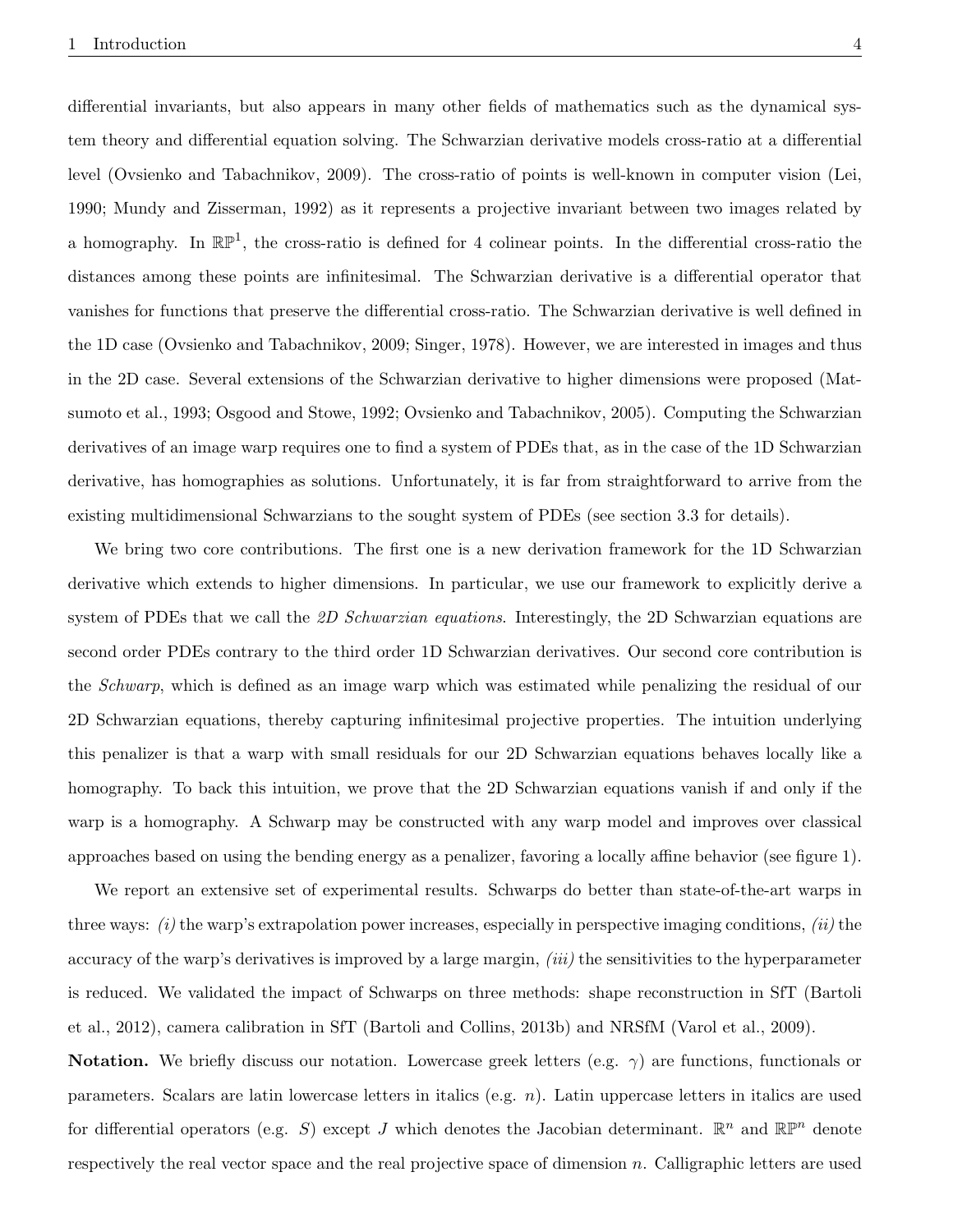differential invariants, but also appears in many other fields of mathematics such as the dynamical system theory and differential equation solving. The Schwarzian derivative models cross-ratio at a differential level (Ovsienko and Tabachnikov, 2009). The cross-ratio of points is well-known in computer vision (Lei, 1990; Mundy and Zisserman, 1992) as it represents a projective invariant between two images related by a homography. In  $\mathbb{RP}^1$ , the cross-ratio is defined for 4 colinear points. In the differential cross-ratio the distances among these points are infinitesimal. The Schwarzian derivative is a differential operator that vanishes for functions that preserve the differential cross-ratio. The Schwarzian derivative is well defined in the 1D case (Ovsienko and Tabachnikov, 2009; Singer, 1978). However, we are interested in images and thus in the 2D case. Several extensions of the Schwarzian derivative to higher dimensions were proposed (Matsumoto et al., 1993; Osgood and Stowe, 1992; Ovsienko and Tabachnikov, 2005). Computing the Schwarzian derivatives of an image warp requires one to find a system of PDEs that, as in the case of the 1D Schwarzian derivative, has homographies as solutions. Unfortunately, it is far from straightforward to arrive from the existing multidimensional Schwarzians to the sought system of PDEs (see section 3.3 for details).

We bring two core contributions. The first one is a new derivation framework for the 1D Schwarzian derivative which extends to higher dimensions. In particular, we use our framework to explicitly derive a system of PDEs that we call the 2D Schwarzian equations. Interestingly, the 2D Schwarzian equations are second order PDEs contrary to the third order 1D Schwarzian derivatives. Our second core contribution is the Schwarp, which is defined as an image warp which was estimated while penalizing the residual of our 2D Schwarzian equations, thereby capturing infinitesimal projective properties. The intuition underlying this penalizer is that a warp with small residuals for our 2D Schwarzian equations behaves locally like a homography. To back this intuition, we prove that the 2D Schwarzian equations vanish if and only if the warp is a homography. A Schwarp may be constructed with any warp model and improves over classical approaches based on using the bending energy as a penalizer, favoring a locally affine behavior (see figure 1).

We report an extensive set of experimental results. Schwarps do better than state-of-the-art warps in three ways:  $(i)$  the warp's extrapolation power increases, especially in perspective imaging conditions,  $(ii)$  the accuracy of the warp's derivatives is improved by a large margin, *(iii)* the sensitivities to the hyperparameter is reduced. We validated the impact of Schwarps on three methods: shape reconstruction in SfT (Bartoli et al., 2012), camera calibration in SfT (Bartoli and Collins, 2013b) and NRSfM (Varol et al., 2009).

Notation. We briefly discuss our notation. Lowercase greek letters (e.g.  $\gamma$ ) are functions, functionals or parameters. Scalars are latin lowercase letters in italics (e.g. n). Latin uppercase letters in italics are used for differential operators (e.g. S) except J which denotes the Jacobian determinant.  $\mathbb{R}^n$  and  $\mathbb{R}\mathbb{P}^n$  denote respectively the real vector space and the real projective space of dimension n. Calligraphic letters are used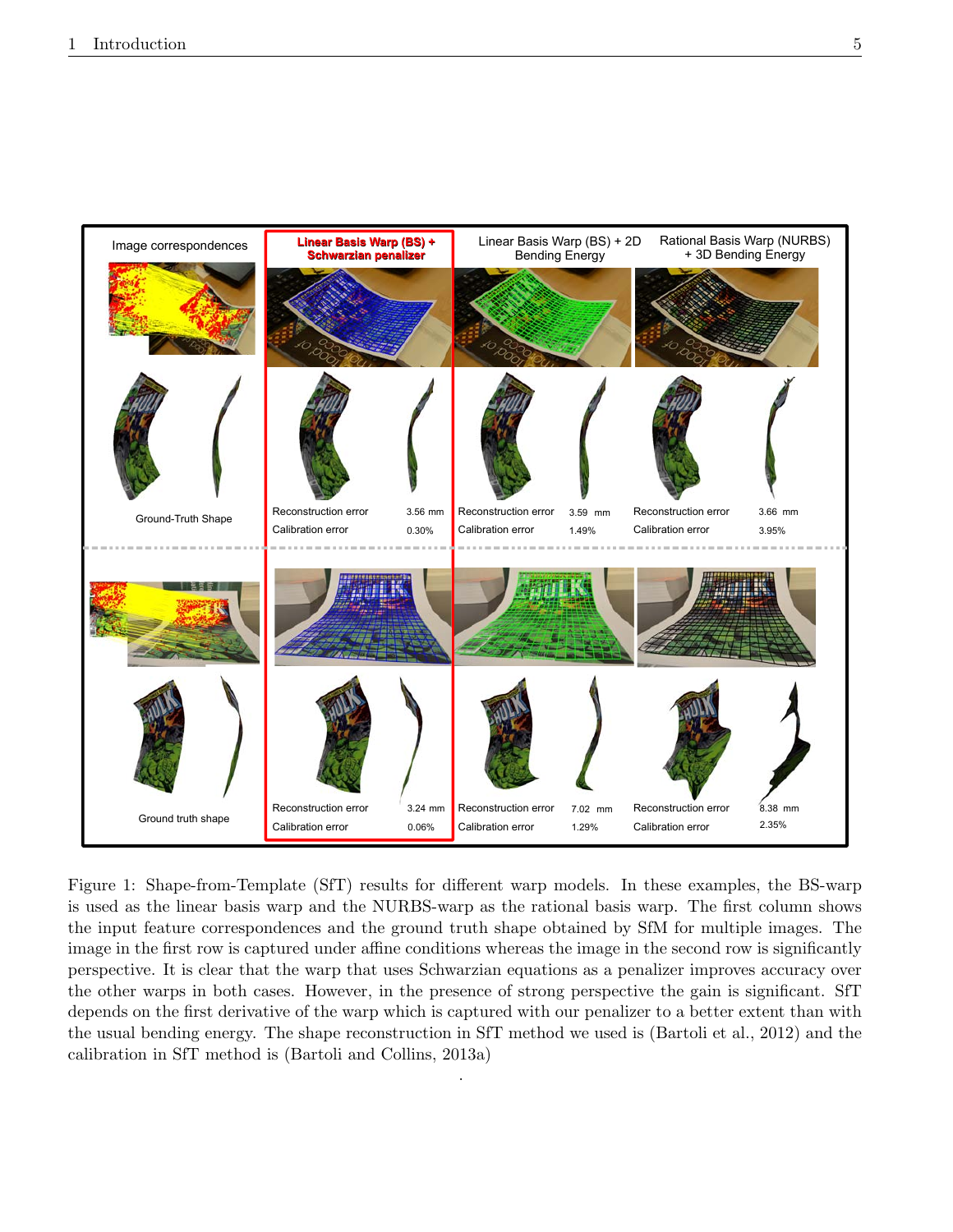

Figure 1: Shape-from-Template (SfT) results for different warp models. In these examples, the BS-warp is used as the linear basis warp and the NURBS-warp as the rational basis warp. The first column shows the input feature correspondences and the ground truth shape obtained by SfM for multiple images. The image in the first row is captured under affine conditions whereas the image in the second row is significantly perspective. It is clear that the warp that uses Schwarzian equations as a penalizer improves accuracy over the other warps in both cases. However, in the presence of strong perspective the gain is significant. SfT depends on the first derivative of the warp which is captured with our penalizer to a better extent than with the usual bending energy. The shape reconstruction in SfT method we used is (Bartoli et al., 2012) and the calibration in SfT method is (Bartoli and Collins, 2013a)

.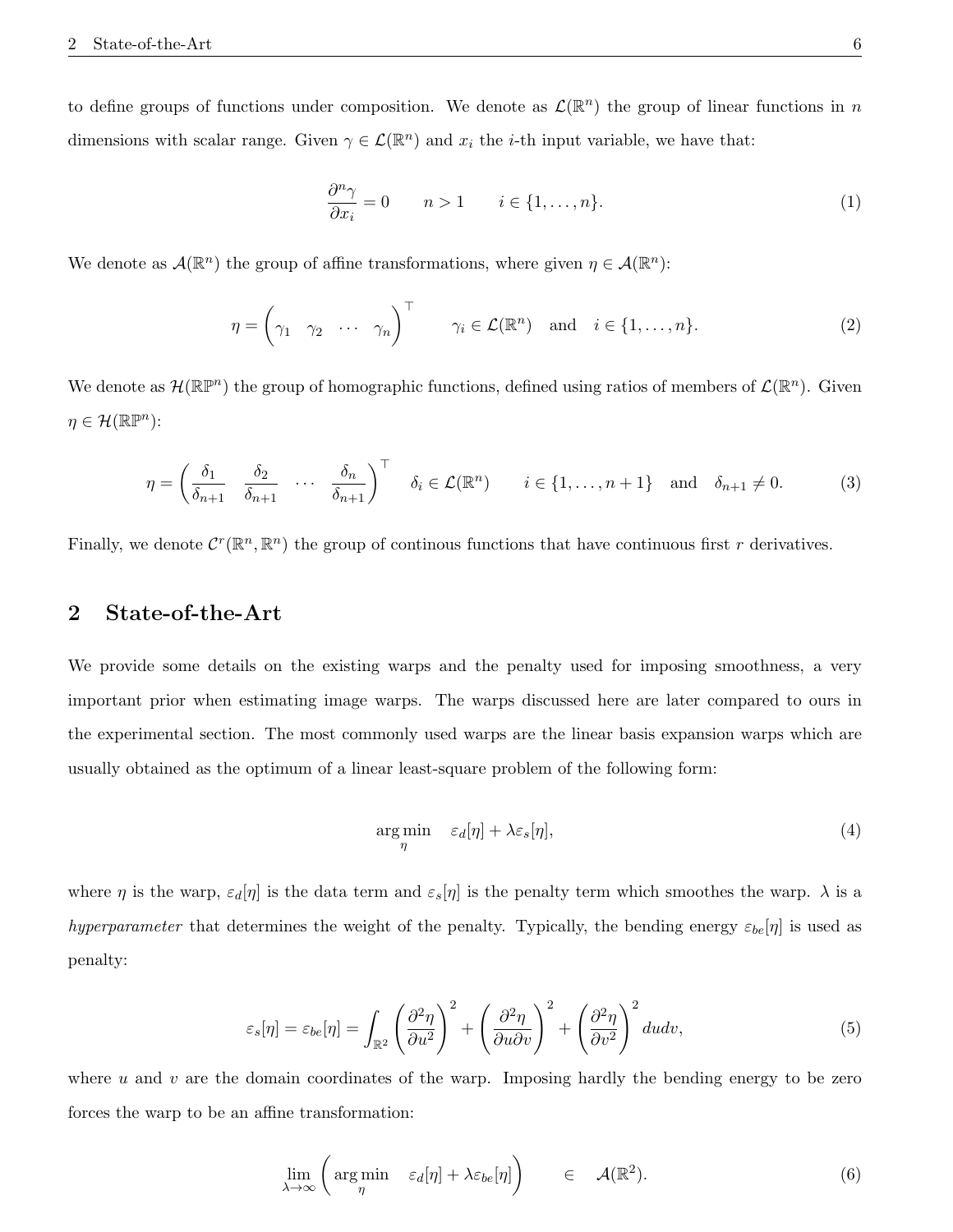to define groups of functions under composition. We denote as  $\mathcal{L}(\mathbb{R}^n)$  the group of linear functions in n dimensions with scalar range. Given  $\gamma \in \mathcal{L}(\mathbb{R}^n)$  and  $x_i$  the *i*-th input variable, we have that:

$$
\frac{\partial^n \gamma}{\partial x_i} = 0 \qquad n > 1 \qquad i \in \{1, \dots, n\}.\tag{1}
$$

We denote as  $\mathcal{A}(\mathbb{R}^n)$  the group of affine transformations, where given  $\eta \in \mathcal{A}(\mathbb{R}^n)$ :

$$
\eta = \begin{pmatrix} \gamma_1 & \gamma_2 & \cdots & \gamma_n \end{pmatrix}^\top \qquad \gamma_i \in \mathcal{L}(\mathbb{R}^n) \quad \text{and} \quad i \in \{1, \ldots, n\}.
$$
 (2)

We denote as  $\mathcal{H}(\mathbb{R}\mathbb{P}^n)$  the group of homographic functions, defined using ratios of members of  $\mathcal{L}(\mathbb{R}^n)$ . Given  $\eta \in \mathcal{H}(\mathbb{R}\mathbb{P}^n)$ :

$$
\eta = \left(\frac{\delta_1}{\delta_{n+1}} \quad \frac{\delta_2}{\delta_{n+1}} \quad \cdots \quad \frac{\delta_n}{\delta_{n+1}}\right)^\top \quad \delta_i \in \mathcal{L}(\mathbb{R}^n) \qquad i \in \{1, \dots, n+1\} \quad \text{and} \quad \delta_{n+1} \neq 0. \tag{3}
$$

Finally, we denote  $C^r(\mathbb{R}^n,\mathbb{R}^n)$  the group of continous functions that have continuous first r derivatives.

# 2 State-of-the-Art

We provide some details on the existing warps and the penalty used for imposing smoothness, a very important prior when estimating image warps. The warps discussed here are later compared to ours in the experimental section. The most commonly used warps are the linear basis expansion warps which are usually obtained as the optimum of a linear least-square problem of the following form:

$$
\underset{\eta}{\arg\min} \quad \varepsilon_d[\eta] + \lambda \varepsilon_s[\eta],\tag{4}
$$

where  $\eta$  is the warp,  $\varepsilon_d[\eta]$  is the data term and  $\varepsilon_s[\eta]$  is the penalty term which smoothes the warp.  $\lambda$  is a hyperparameter that determines the weight of the penalty. Typically, the bending energy  $\varepsilon_{be}[\eta]$  is used as penalty:

$$
\varepsilon_s[\eta] = \varepsilon_{be}[\eta] = \int_{\mathbb{R}^2} \left(\frac{\partial^2 \eta}{\partial u^2}\right)^2 + \left(\frac{\partial^2 \eta}{\partial u \partial v}\right)^2 + \left(\frac{\partial^2 \eta}{\partial v^2}\right)^2 du dv,
$$
\n(5)

where u and v are the domain coordinates of the warp. Imposing hardly the bending energy to be zero forces the warp to be an affine transformation:

$$
\lim_{\lambda \to \infty} \left( \argmin_{\eta} \quad \varepsilon_d[\eta] + \lambda \varepsilon_{be}[\eta] \right) \qquad \in \quad \mathcal{A}(\mathbb{R}^2). \tag{6}
$$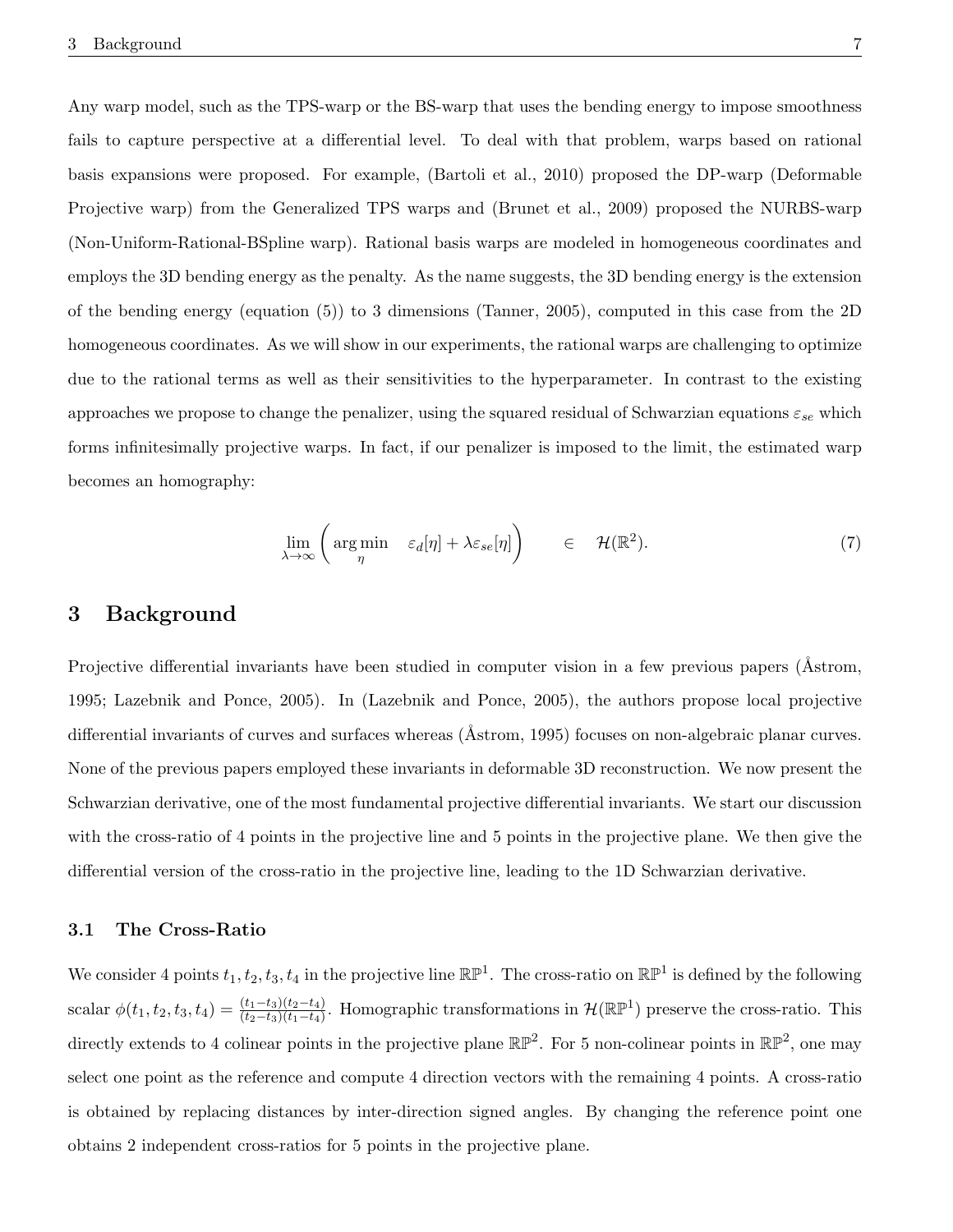Any warp model, such as the TPS-warp or the BS-warp that uses the bending energy to impose smoothness fails to capture perspective at a differential level. To deal with that problem, warps based on rational basis expansions were proposed. For example, (Bartoli et al., 2010) proposed the DP-warp (Deformable Projective warp) from the Generalized TPS warps and (Brunet et al., 2009) proposed the NURBS-warp (Non-Uniform-Rational-BSpline warp). Rational basis warps are modeled in homogeneous coordinates and employs the 3D bending energy as the penalty. As the name suggests, the 3D bending energy is the extension of the bending energy (equation (5)) to 3 dimensions (Tanner, 2005), computed in this case from the 2D homogeneous coordinates. As we will show in our experiments, the rational warps are challenging to optimize due to the rational terms as well as their sensitivities to the hyperparameter. In contrast to the existing approaches we propose to change the penalizer, using the squared residual of Schwarzian equations  $\varepsilon_{se}$  which forms infinitesimally projective warps. In fact, if our penalizer is imposed to the limit, the estimated warp becomes an homography:

$$
\lim_{\lambda \to \infty} \left( \argmin_{\eta} \quad \varepsilon_d[\eta] + \lambda \varepsilon_{se}[\eta] \right) \qquad \in \quad \mathcal{H}(\mathbb{R}^2). \tag{7}
$$

### 3 Background

Projective differential invariants have been studied in computer vision in a few previous papers (Astrom, 1995; Lazebnik and Ponce, 2005). In (Lazebnik and Ponce, 2005), the authors propose local projective differential invariants of curves and surfaces whereas ( $Åstrom$ , 1995) focuses on non-algebraic planar curves. None of the previous papers employed these invariants in deformable 3D reconstruction. We now present the Schwarzian derivative, one of the most fundamental projective differential invariants. We start our discussion with the cross-ratio of 4 points in the projective line and 5 points in the projective plane. We then give the differential version of the cross-ratio in the projective line, leading to the 1D Schwarzian derivative.

### 3.1 The Cross-Ratio

We consider 4 points  $t_1, t_2, t_3, t_4$  in the projective line  $\mathbb{RP}^1$ . The cross-ratio on  $\mathbb{RP}^1$  is defined by the following scalar  $\phi(t_1, t_2, t_3, t_4) = \frac{(t_1 - t_3)(t_2 - t_4)}{(t_2 - t_3)(t_1 - t_4)}$ . Homographic transformations in  $\mathcal{H}(\mathbb{RP}^1)$  preserve the cross-ratio. This directly extends to 4 colinear points in the projective plane  $\mathbb{RP}^2$ . For 5 non-colinear points in  $\mathbb{RP}^2$ , one may select one point as the reference and compute 4 direction vectors with the remaining 4 points. A cross-ratio is obtained by replacing distances by inter-direction signed angles. By changing the reference point one obtains 2 independent cross-ratios for 5 points in the projective plane.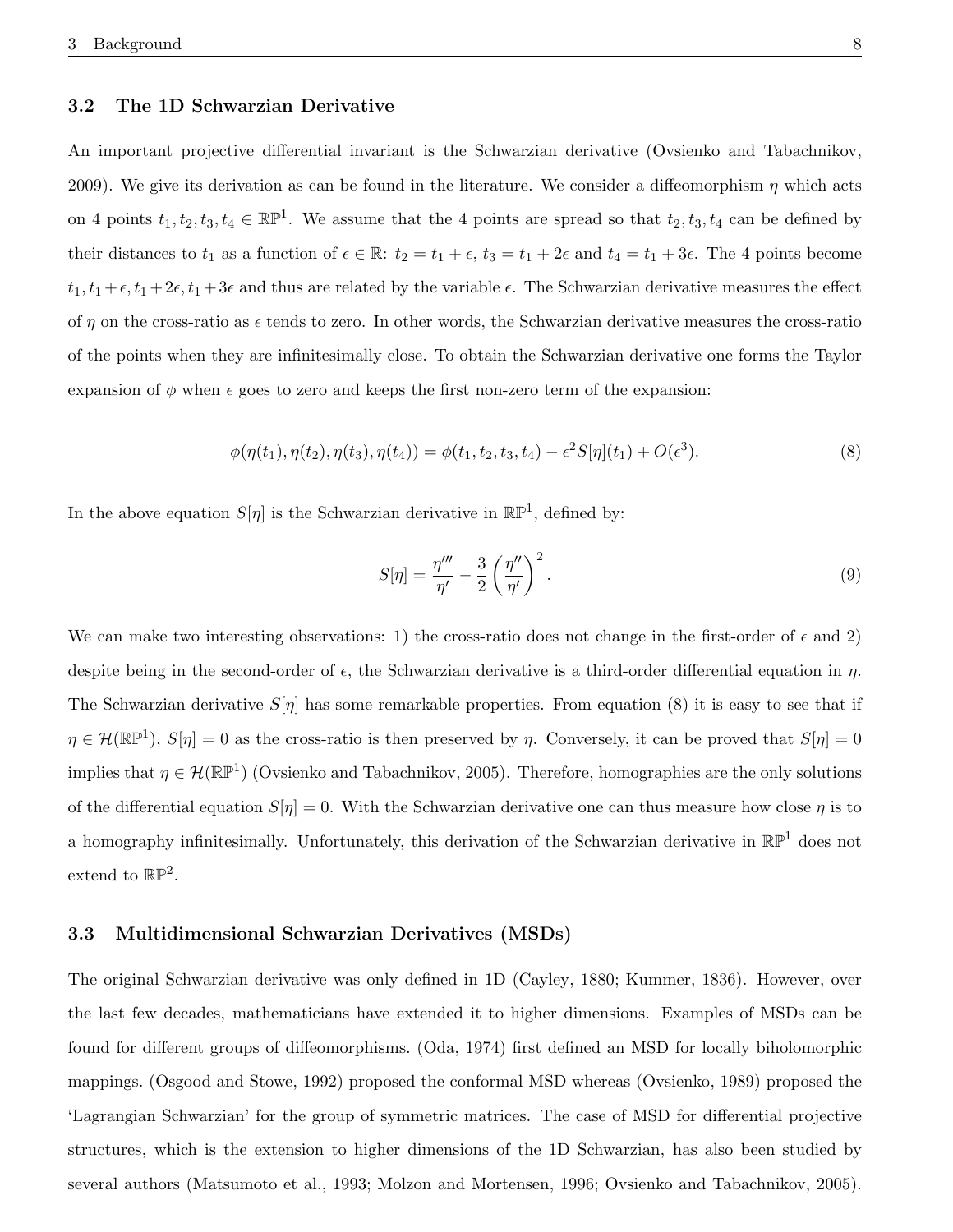### 3.2 The 1D Schwarzian Derivative

An important projective differential invariant is the Schwarzian derivative (Ovsienko and Tabachnikov, 2009). We give its derivation as can be found in the literature. We consider a diffeomorphism  $\eta$  which acts on 4 points  $t_1, t_2, t_3, t_4 \in \mathbb{RP}^1$ . We assume that the 4 points are spread so that  $t_2, t_3, t_4$  can be defined by their distances to  $t_1$  as a function of  $\epsilon \in \mathbb{R}$ :  $t_2 = t_1 + \epsilon$ ,  $t_3 = t_1 + 2\epsilon$  and  $t_4 = t_1 + 3\epsilon$ . The 4 points become  $t_1, t_1 + \epsilon, t_1 + 2\epsilon, t_1 + 3\epsilon$  and thus are related by the variable  $\epsilon$ . The Schwarzian derivative measures the effect of  $\eta$  on the cross-ratio as  $\epsilon$  tends to zero. In other words, the Schwarzian derivative measures the cross-ratio of the points when they are infinitesimally close. To obtain the Schwarzian derivative one forms the Taylor expansion of  $\phi$  when  $\epsilon$  goes to zero and keeps the first non-zero term of the expansion:

$$
\phi(\eta(t_1), \eta(t_2), \eta(t_3), \eta(t_4)) = \phi(t_1, t_2, t_3, t_4) - \epsilon^2 S[\eta](t_1) + O(\epsilon^3). \tag{8}
$$

In the above equation  $S[\eta]$  is the Schwarzian derivative in  $\mathbb{RP}^1$ , defined by:

$$
S[\eta] = \frac{\eta'''}{\eta'} - \frac{3}{2} \left(\frac{\eta''}{\eta'}\right)^2.
$$
\n(9)

We can make two interesting observations: 1) the cross-ratio does not change in the first-order of  $\epsilon$  and 2) despite being in the second-order of  $\epsilon$ , the Schwarzian derivative is a third-order differential equation in  $\eta$ . The Schwarzian derivative  $S[\eta]$  has some remarkable properties. From equation (8) it is easy to see that if  $\eta \in \mathcal{H}(\mathbb{RP}^1)$ ,  $S[\eta] = 0$  as the cross-ratio is then preserved by  $\eta$ . Conversely, it can be proved that  $S[\eta] = 0$ implies that  $\eta \in \mathcal{H}(\mathbb{RP}^1)$  (Ovsienko and Tabachnikov, 2005). Therefore, homographies are the only solutions of the differential equation  $S[\eta] = 0$ . With the Schwarzian derivative one can thus measure how close  $\eta$  is to a homography infinitesimally. Unfortunately, this derivation of the Schwarzian derivative in  $\mathbb{RP}^1$  does not extend to  $\mathbb{RP}^2$ .

### 3.3 Multidimensional Schwarzian Derivatives (MSDs)

The original Schwarzian derivative was only defined in 1D (Cayley, 1880; Kummer, 1836). However, over the last few decades, mathematicians have extended it to higher dimensions. Examples of MSDs can be found for different groups of diffeomorphisms. (Oda, 1974) first defined an MSD for locally biholomorphic mappings. (Osgood and Stowe, 1992) proposed the conformal MSD whereas (Ovsienko, 1989) proposed the 'Lagrangian Schwarzian' for the group of symmetric matrices. The case of MSD for differential projective structures, which is the extension to higher dimensions of the 1D Schwarzian, has also been studied by several authors (Matsumoto et al., 1993; Molzon and Mortensen, 1996; Ovsienko and Tabachnikov, 2005).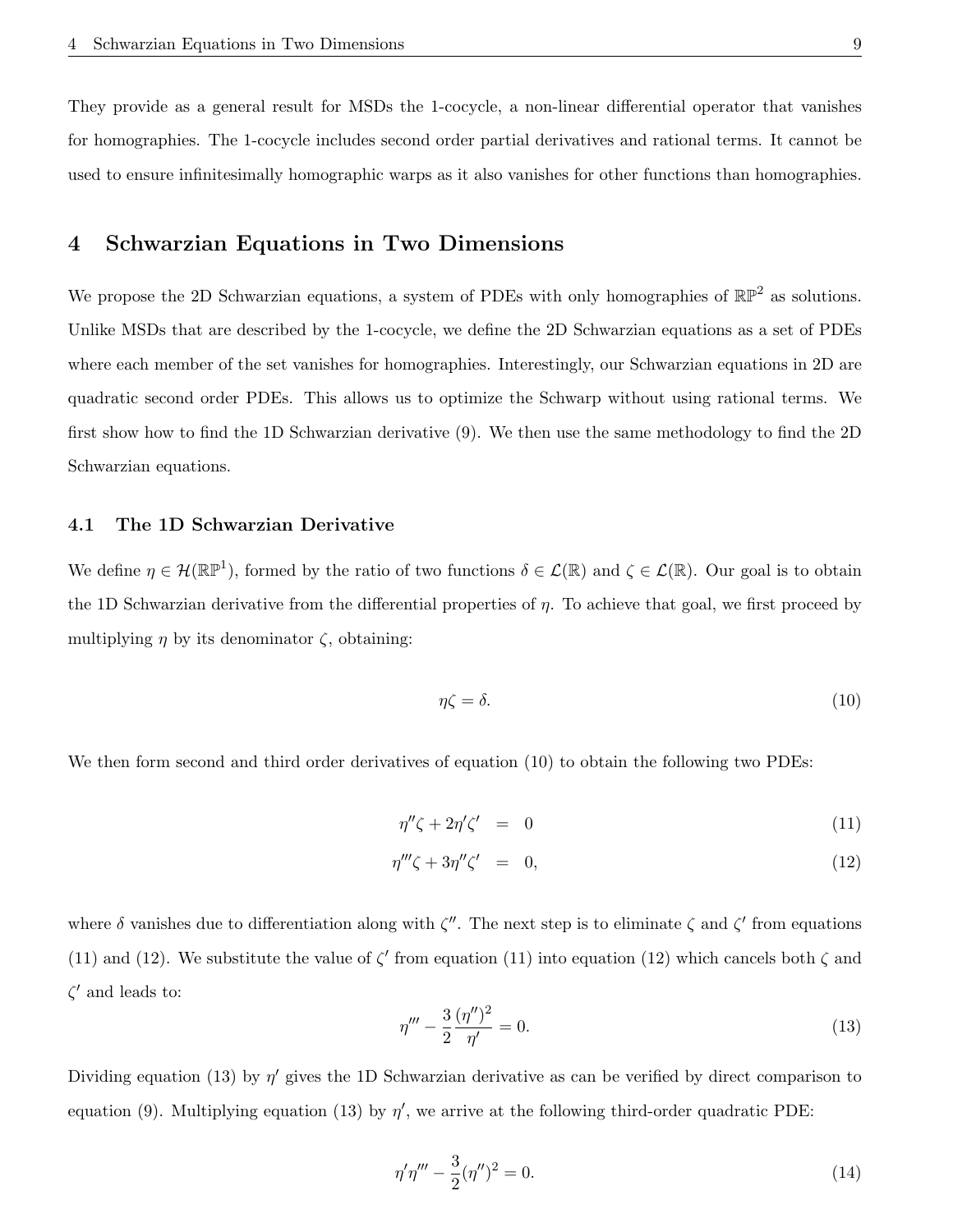They provide as a general result for MSDs the 1-cocycle, a non-linear differential operator that vanishes for homographies. The 1-cocycle includes second order partial derivatives and rational terms. It cannot be used to ensure infinitesimally homographic warps as it also vanishes for other functions than homographies.

### 4 Schwarzian Equations in Two Dimensions

We propose the 2D Schwarzian equations, a system of PDEs with only homographies of  $\mathbb{RP}^2$  as solutions. Unlike MSDs that are described by the 1-cocycle, we define the 2D Schwarzian equations as a set of PDEs where each member of the set vanishes for homographies. Interestingly, our Schwarzian equations in 2D are quadratic second order PDEs. This allows us to optimize the Schwarp without using rational terms. We first show how to find the 1D Schwarzian derivative (9). We then use the same methodology to find the 2D Schwarzian equations.

### 4.1 The 1D Schwarzian Derivative

We define  $\eta \in \mathcal{H}(\mathbb{RP}^1)$ , formed by the ratio of two functions  $\delta \in \mathcal{L}(\mathbb{R})$  and  $\zeta \in \mathcal{L}(\mathbb{R})$ . Our goal is to obtain the 1D Schwarzian derivative from the differential properties of  $\eta$ . To achieve that goal, we first proceed by multiplying  $\eta$  by its denominator  $\zeta$ , obtaining:

$$
\eta \zeta = \delta. \tag{10}
$$

We then form second and third order derivatives of equation (10) to obtain the following two PDEs:

$$
\eta''\zeta + 2\eta'\zeta' = 0 \tag{11}
$$

$$
\eta'''\zeta + 3\eta''\zeta' = 0,\tag{12}
$$

where  $\delta$  vanishes due to differentiation along with  $\zeta''$ . The next step is to eliminate  $\zeta$  and  $\zeta'$  from equations (11) and (12). We substitute the value of  $\zeta'$  from equation (11) into equation (12) which cancels both  $\zeta$  and  $\zeta'$  and leads to:

$$
\eta''' - \frac{3}{2} \frac{(\eta'')^2}{\eta'} = 0.
$$
\n(13)

Dividing equation (13) by  $\eta'$  gives the 1D Schwarzian derivative as can be verified by direct comparison to equation (9). Multiplying equation (13) by  $\eta'$ , we arrive at the following third-order quadratic PDE:

$$
\eta'\eta''' - \frac{3}{2}(\eta'')^2 = 0.
$$
\n(14)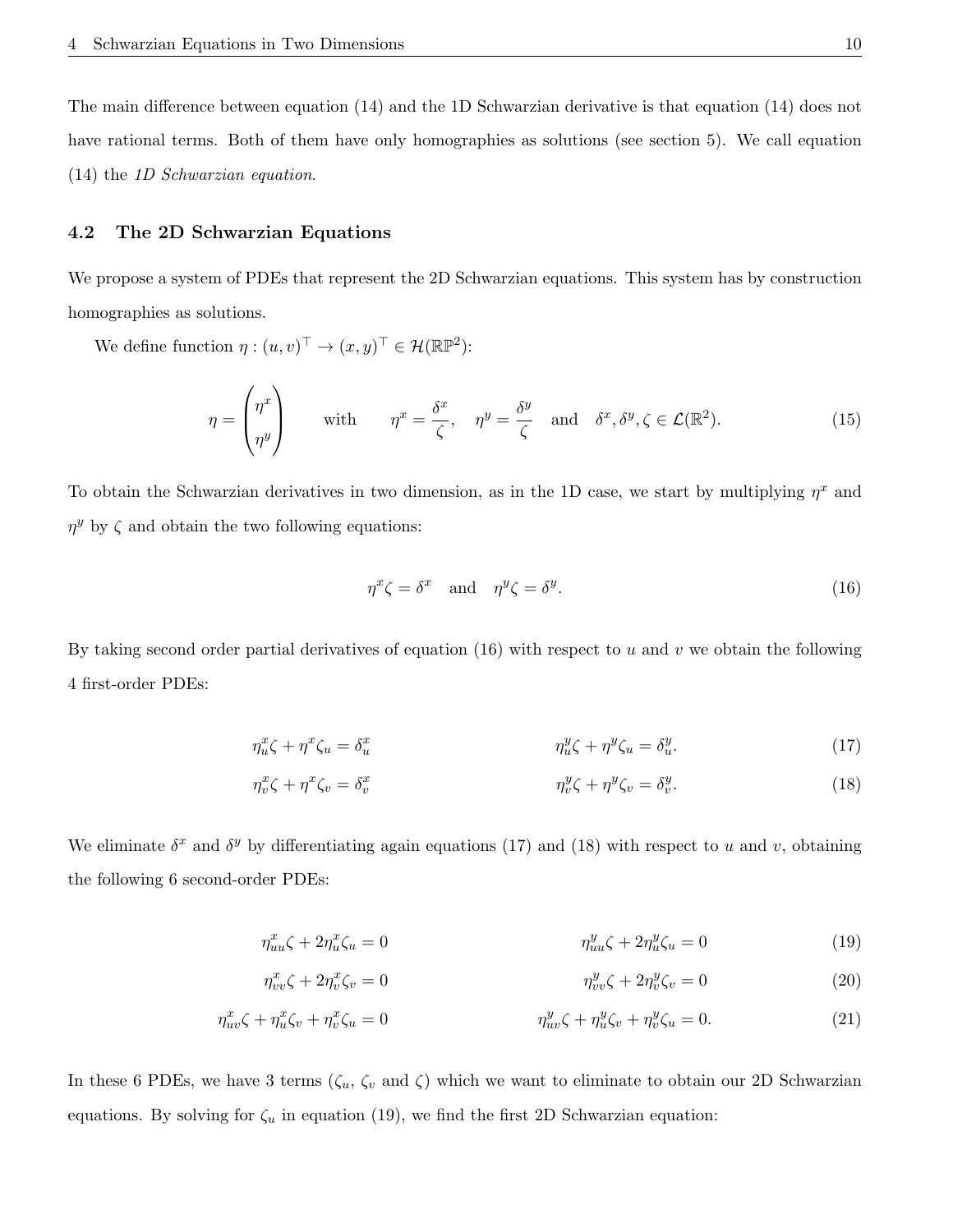The main difference between equation (14) and the 1D Schwarzian derivative is that equation (14) does not have rational terms. Both of them have only homographies as solutions (see section 5). We call equation (14) the 1D Schwarzian equation.

### 4.2 The 2D Schwarzian Equations

We propose a system of PDEs that represent the 2D Schwarzian equations. This system has by construction homographies as solutions.

We define function  $\eta : (u, v)^\top \to (x, y)^\top \in \mathcal{H}(\mathbb{RP}^2)$ :

$$
\eta = \begin{pmatrix} \eta^x \\ \eta^y \end{pmatrix} \quad \text{with} \quad \eta^x = \frac{\delta^x}{\zeta}, \quad \eta^y = \frac{\delta^y}{\zeta} \quad \text{and} \quad \delta^x, \delta^y, \zeta \in \mathcal{L}(\mathbb{R}^2). \tag{15}
$$

To obtain the Schwarzian derivatives in two dimension, as in the 1D case, we start by multiplying  $\eta^x$  and  $\eta^y$  by  $\zeta$  and obtain the two following equations:

$$
\eta^x \zeta = \delta^x \quad \text{and} \quad \eta^y \zeta = \delta^y. \tag{16}
$$

By taking second order partial derivatives of equation  $(16)$  with respect to u and v we obtain the following 4 first-order PDEs:

$$
\eta_u^x \zeta + \eta^x \zeta_u = \delta_u^x \qquad \eta_u^y \zeta + \eta^y \zeta_u = \delta_u^y. \tag{17}
$$

$$
\eta_v^x \zeta + \eta^x \zeta_v = \delta_v^x \qquad \eta_v^y \zeta + \eta^y \zeta_v = \delta_v^y. \tag{18}
$$

We eliminate  $\delta^x$  and  $\delta^y$  by differentiating again equations (17) and (18) with respect to u and v, obtaining the following 6 second-order PDEs:

$$
\eta_{uu}^x \zeta + 2\eta_u^x \zeta_u = 0 \qquad \eta_{uu}^y \zeta + 2\eta_u^y \zeta_u = 0 \qquad (19)
$$

$$
\eta_{vv}^x \zeta + 2\eta_v^x \zeta_v = 0 \qquad \eta_{vv}^y \zeta + 2\eta_v^y \zeta_v = 0 \qquad (20)
$$

$$
\eta_{uv}^x \zeta + \eta_u^x \zeta_v + \eta_v^x \zeta_u = 0 \qquad \eta_{uv}^y \zeta + \eta_u^y \zeta_v + \eta_v^y \zeta_u = 0. \tag{21}
$$

In these 6 PDEs, we have 3 terms  $(\zeta_u, \zeta_v, \zeta_w, \zeta_w)$  which we want to eliminate to obtain our 2D Schwarzian equations. By solving for  $\zeta_u$  in equation (19), we find the first 2D Schwarzian equation: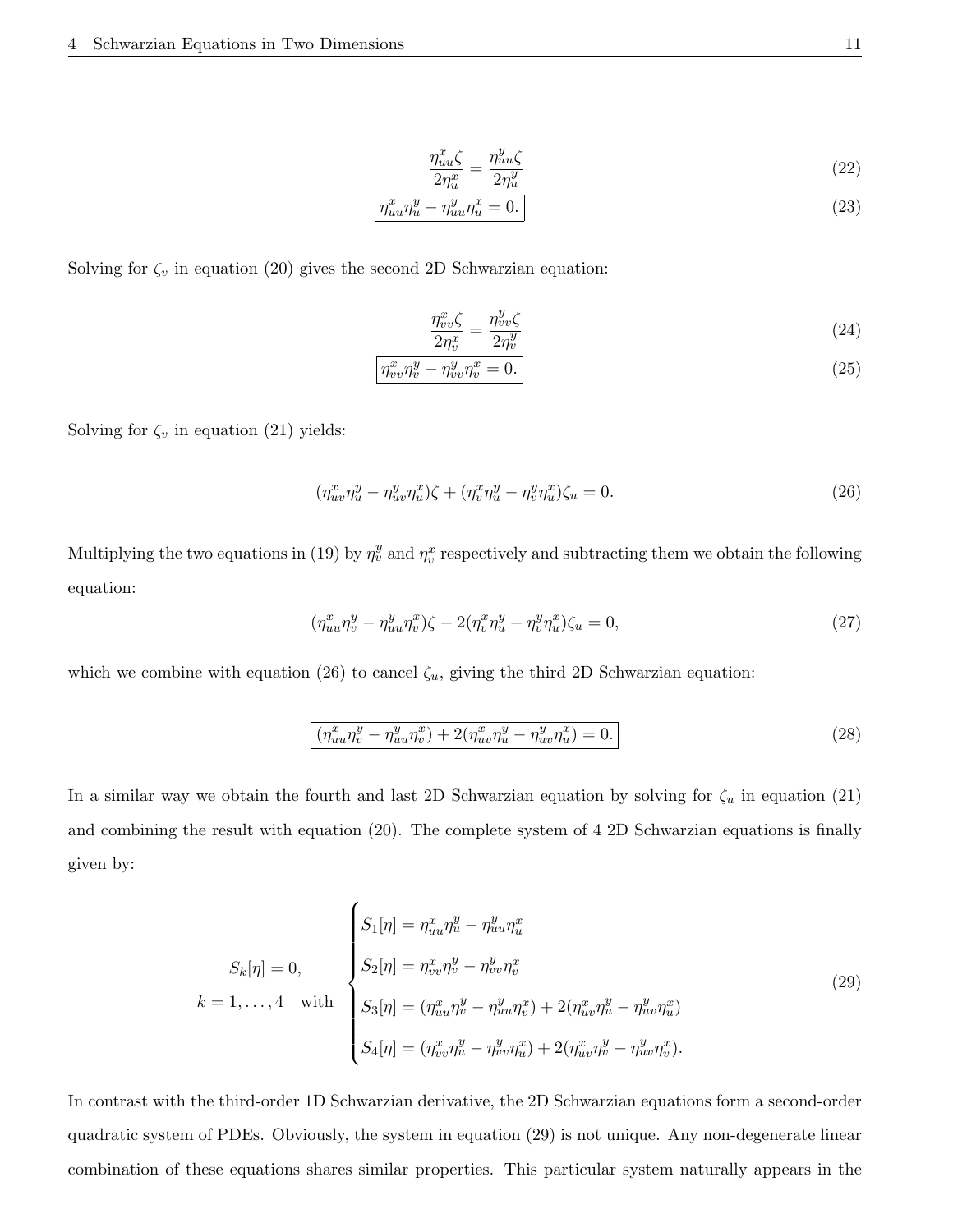$$
\frac{\eta_{uu}^x \zeta}{2\eta_u^x} = \frac{\eta_{uu}^y \zeta}{2\eta_u^y}
$$
\n
$$
\tag{22}
$$

$$
\boxed{\eta_{uu}^x \eta_u^y - \eta_{uu}^y \eta_u^x = 0.}
$$
\n(23)

Solving for  $\zeta_v$  in equation (20) gives the second 2D Schwarzian equation:

$$
\frac{\eta_{vv}^x \zeta}{2\eta_v^x} = \frac{\eta_{vv}^y \zeta}{2\eta_v^y} \tag{24}
$$

$$
\boxed{\eta_{vv}^x \eta_v^y - \eta_{vv}^y \eta_v^x = 0.}
$$
\n(25)

Solving for  $\zeta_v$  in equation (21) yields:

$$
(\eta_{uv}^x \eta_u^y - \eta_{uv}^y \eta_u^x)\zeta + (\eta_v^x \eta_u^y - \eta_v^y \eta_u^x)\zeta_u = 0.
$$
\n
$$
(26)
$$

Multiplying the two equations in (19) by  $\eta_v^y$  and  $\eta_v^x$  respectively and subtracting them we obtain the following equation:

$$
(\eta_{uu}^x \eta_v^y - \eta_{uu}^y \eta_v^x)\zeta - 2(\eta_v^x \eta_u^y - \eta_v^y \eta_u^x)\zeta_u = 0, \qquad (27)
$$

which we combine with equation (26) to cancel  $\zeta_u$ , giving the third 2D Schwarzian equation:

$$
\left(\eta_{uu}^x \eta_v^y - \eta_{uu}^y \eta_v^x\right) + 2(\eta_{uv}^x \eta_u^y - \eta_{uv}^y \eta_u^x) = 0.
$$
\n(28)

In a similar way we obtain the fourth and last 2D Schwarzian equation by solving for  $\zeta_u$  in equation (21) and combining the result with equation (20). The complete system of 4 2D Schwarzian equations is finally given by:

$$
S_k[\eta] = 0, \qquad \begin{cases} S_1[\eta] = \eta_{uu}^x \eta_u^y - \eta_{uu}^y \eta_u^x \\ S_2[\eta] = \eta_{vv}^x \eta_v^y - \eta_{vv}^y \eta_v^x \\ S_3[\eta] = (\eta_{uu}^x \eta_v^y - \eta_{uu}^y \eta_v^x) + 2(\eta_{uv}^x \eta_u^y - \eta_{uv}^y \eta_u^x) \\ S_4[\eta] = (\eta_{vv}^x \eta_u^y - \eta_{vv}^y \eta_u^x) + 2(\eta_{uv}^x \eta_v^y - \eta_{uv}^y \eta_v^x). \end{cases} \tag{29}
$$

In contrast with the third-order 1D Schwarzian derivative, the 2D Schwarzian equations form a second-order quadratic system of PDEs. Obviously, the system in equation (29) is not unique. Any non-degenerate linear combination of these equations shares similar properties. This particular system naturally appears in the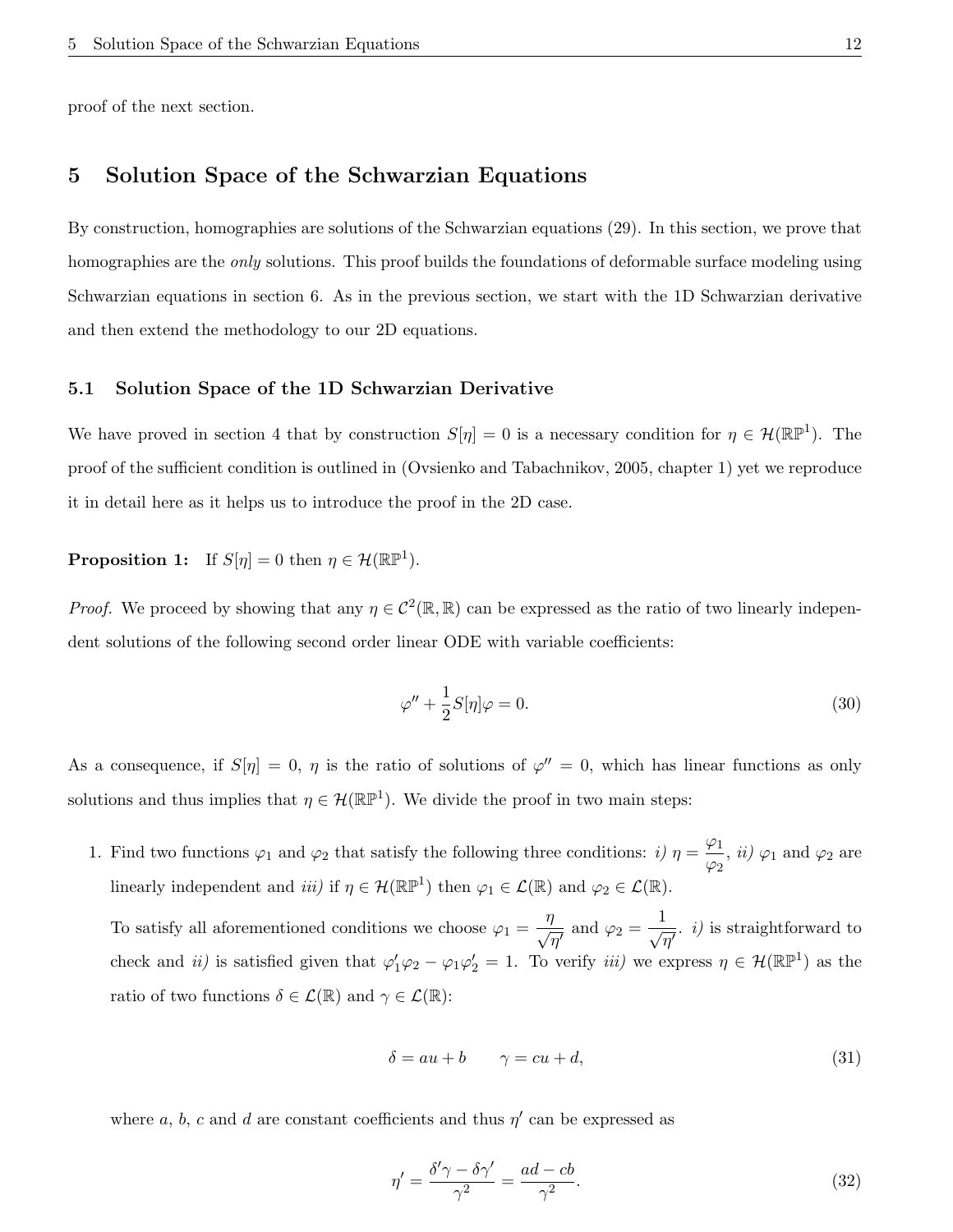proof of the next section.

# 5 Solution Space of the Schwarzian Equations

By construction, homographies are solutions of the Schwarzian equations (29). In this section, we prove that homographies are the *only* solutions. This proof builds the foundations of deformable surface modeling using Schwarzian equations in section 6. As in the previous section, we start with the 1D Schwarzian derivative and then extend the methodology to our 2D equations.

### 5.1 Solution Space of the 1D Schwarzian Derivative

We have proved in section 4 that by construction  $S[\eta] = 0$  is a necessary condition for  $\eta \in \mathcal{H}(\mathbb{RP}^1)$ . The proof of the sufficient condition is outlined in (Ovsienko and Tabachnikov, 2005, chapter 1) yet we reproduce it in detail here as it helps us to introduce the proof in the 2D case.

**Proposition 1:** If  $S[\eta] = 0$  then  $\eta \in \mathcal{H}(\mathbb{RP}^1)$ .

*Proof.* We proceed by showing that any  $\eta \in C^2(\mathbb{R}, \mathbb{R})$  can be expressed as the ratio of two linearly independent solutions of the following second order linear ODE with variable coefficients:

$$
\varphi'' + \frac{1}{2}S[\eta]\varphi = 0. \tag{30}
$$

As a consequence, if  $S[\eta] = 0$ ,  $\eta$  is the ratio of solutions of  $\varphi'' = 0$ , which has linear functions as only solutions and thus implies that  $\eta \in \mathcal{H}(\mathbb{RP}^1)$ . We divide the proof in two main steps:

1. Find two functions  $\varphi_1$  and  $\varphi_2$  that satisfy the following three conditions:  $i) \eta = \frac{\varphi_1}{\sqrt{2\pi}}$  $\frac{\varphi_1}{\varphi_2}$ , *ii*)  $\varphi_1$  and  $\varphi_2$  are linearly independent and *iii*) if  $\eta \in \mathcal{H}(\mathbb{RP}^1)$  then  $\varphi_1 \in \mathcal{L}(\mathbb{R})$  and  $\varphi_2 \in \mathcal{L}(\mathbb{R})$ .

To satisfy all aforementioned conditions we choose  $\varphi_1 = \frac{\eta}{\sqrt{2\pi}}$  $\frac{\partial}{\partial \eta'}$  and  $\varphi_2 = \frac{1}{\sqrt{\eta'}}$  $\frac{1}{\overline{\eta'}}$ . *i*) is straightforward to check and *ii*) is satisfied given that  $\varphi'_1\varphi_2 - \varphi_1\varphi'_2 = 1$ . To verify *iii*) we express  $\eta \in \mathcal{H}(\mathbb{RP}^1)$  as the ratio of two functions  $\delta \in \mathcal{L}(\mathbb{R})$  and  $\gamma \in \mathcal{L}(\mathbb{R})$ :

$$
\delta = au + b \qquad \gamma = cu + d,\tag{31}
$$

where a, b, c and d are constant coefficients and thus  $\eta'$  can be expressed as

$$
\eta' = \frac{\delta'\gamma - \delta\gamma'}{\gamma^2} = \frac{ad - cb}{\gamma^2}.
$$
\n(32)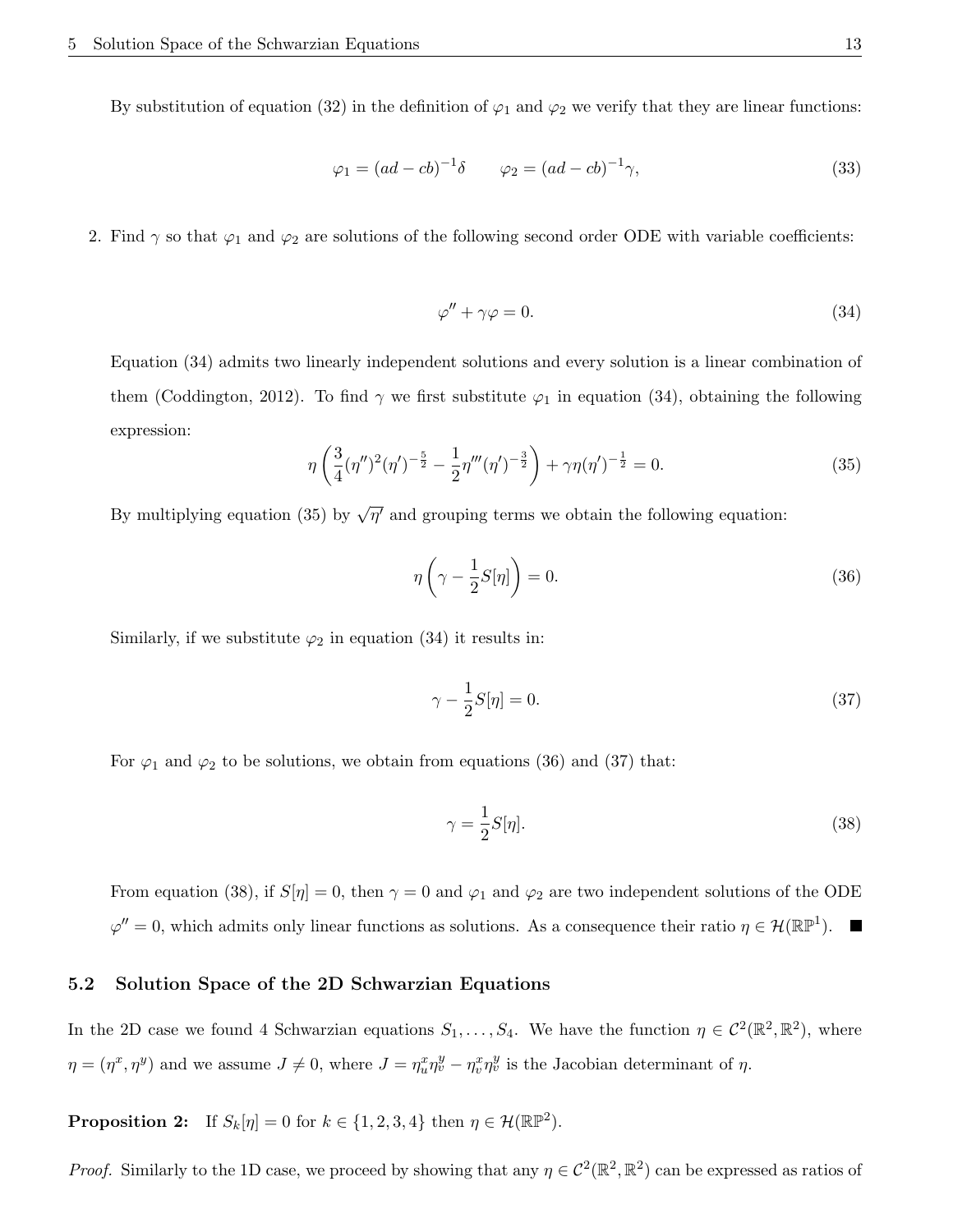By substitution of equation (32) in the definition of  $\varphi_1$  and  $\varphi_2$  we verify that they are linear functions:

$$
\varphi_1 = (ad - cb)^{-1} \delta \qquad \varphi_2 = (ad - cb)^{-1} \gamma,
$$
\n(33)

2. Find  $\gamma$  so that  $\varphi_1$  and  $\varphi_2$  are solutions of the following second order ODE with variable coefficients:

$$
\varphi'' + \gamma \varphi = 0. \tag{34}
$$

Equation (34) admits two linearly independent solutions and every solution is a linear combination of them (Coddington, 2012). To find  $\gamma$  we first substitute  $\varphi_1$  in equation (34), obtaining the following expression:

$$
\eta \left( \frac{3}{4} (\eta'')^2 (\eta')^{-\frac{5}{2}} - \frac{1}{2} \eta'''(\eta')^{-\frac{3}{2}} \right) + \gamma \eta (\eta')^{-\frac{1}{2}} = 0. \tag{35}
$$

By multiplying equation (35) by  $\sqrt{\eta'}$  and grouping terms we obtain the following equation:

$$
\eta\left(\gamma - \frac{1}{2}S[\eta]\right) = 0.\tag{36}
$$

Similarly, if we substitute  $\varphi_2$  in equation (34) it results in:

$$
\gamma - \frac{1}{2}S[\eta] = 0.\tag{37}
$$

For  $\varphi_1$  and  $\varphi_2$  to be solutions, we obtain from equations (36) and (37) that:

$$
\gamma = \frac{1}{2}S[\eta].\tag{38}
$$

From equation (38), if  $S[\eta] = 0$ , then  $\gamma = 0$  and  $\varphi_1$  and  $\varphi_2$  are two independent solutions of the ODE  $\varphi'' = 0$ , which admits only linear functions as solutions. As a consequence their ratio  $\eta \in \mathcal{H}(\mathbb{RP}^1)$ .

### 5.2 Solution Space of the 2D Schwarzian Equations

In the 2D case we found 4 Schwarzian equations  $S_1, \ldots, S_4$ . We have the function  $\eta \in C^2(\mathbb{R}^2, \mathbb{R}^2)$ , where  $\eta = (\eta^x, \eta^y)$  and we assume  $J \neq 0$ , where  $J = \eta_u^x \eta_v^y - \eta_v^x \eta_v^y$  is the Jacobian determinant of  $\eta$ .

**Proposition 2:** If  $S_k[\eta] = 0$  for  $k \in \{1, 2, 3, 4\}$  then  $\eta \in \mathcal{H}(\mathbb{RP}^2)$ .

*Proof.* Similarly to the 1D case, we proceed by showing that any  $\eta \in C^2(\mathbb{R}^2, \mathbb{R}^2)$  can be expressed as ratios of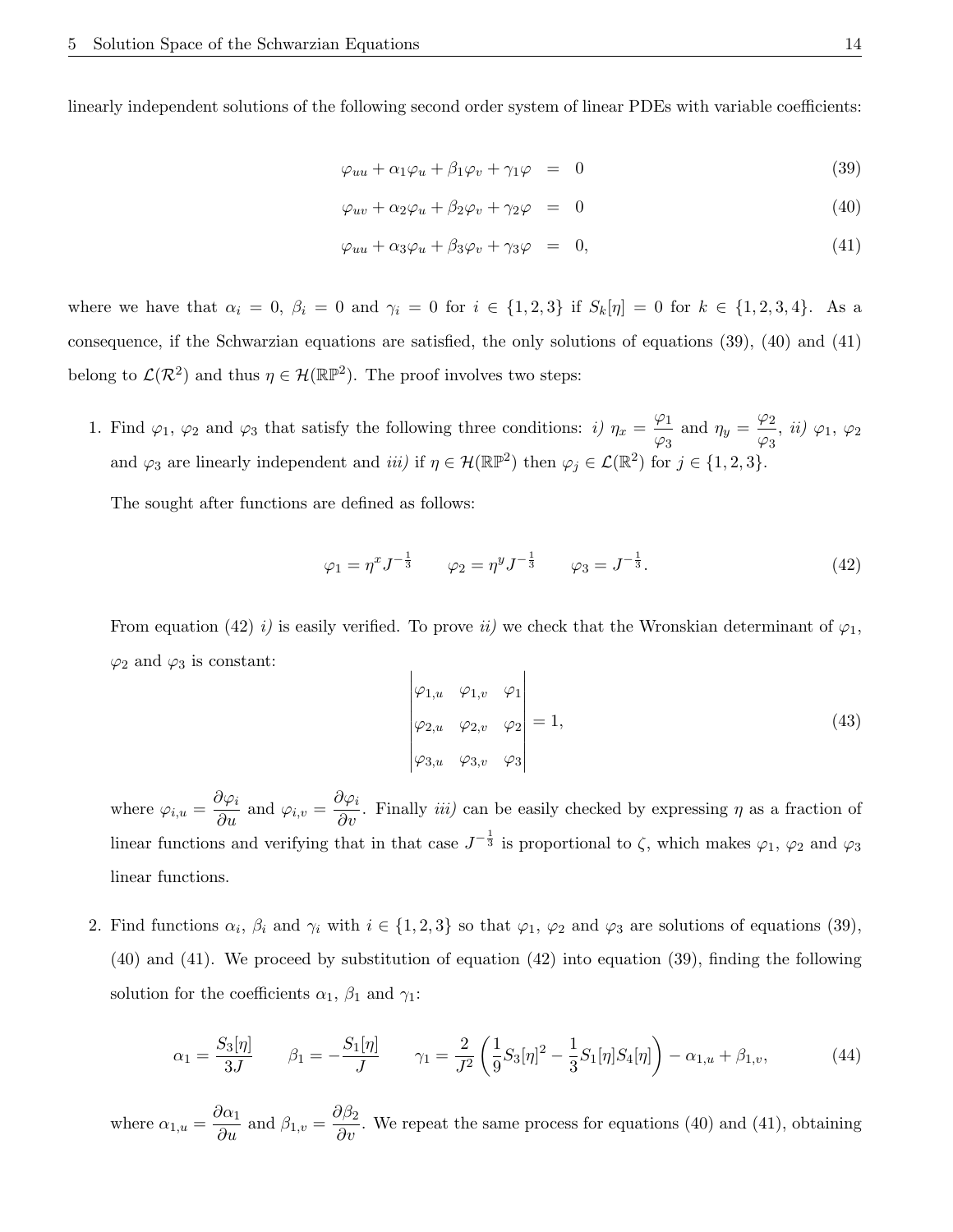linearly independent solutions of the following second order system of linear PDEs with variable coefficients:

$$
\varphi_{uu} + \alpha_1 \varphi_u + \beta_1 \varphi_v + \gamma_1 \varphi = 0 \tag{39}
$$

$$
\varphi_{uv} + \alpha_2 \varphi_u + \beta_2 \varphi_v + \gamma_2 \varphi = 0 \tag{40}
$$

$$
\varphi_{uu} + \alpha_3 \varphi_u + \beta_3 \varphi_v + \gamma_3 \varphi = 0, \qquad (41)
$$

where we have that  $\alpha_i = 0$ ,  $\beta_i = 0$  and  $\gamma_i = 0$  for  $i \in \{1, 2, 3\}$  if  $S_k[\eta] = 0$  for  $k \in \{1, 2, 3, 4\}$ . As a consequence, if the Schwarzian equations are satisfied, the only solutions of equations (39), (40) and (41) belong to  $\mathcal{L}(\mathcal{R}^2)$  and thus  $\eta \in \mathcal{H}(\mathbb{RP}^2)$ . The proof involves two steps:

1. Find  $\varphi_1$ ,  $\varphi_2$  and  $\varphi_3$  that satisfy the following three conditions: *i*)  $\eta_x = \frac{\varphi_1}{\sqrt{2\pi}}$  $\frac{\varphi_1}{\varphi_3}$  and  $\eta_y = \frac{\varphi_2}{\varphi_3}$  $\frac{\varphi_2}{\varphi_3}$ , *ii*)  $\varphi_1$ ,  $\varphi_2$ and  $\varphi_3$  are linearly independent and *iii*) if  $\eta \in \mathcal{H}(\mathbb{RP}^2)$  then  $\varphi_j \in \mathcal{L}(\mathbb{R}^2)$  for  $j \in \{1, 2, 3\}$ .

The sought after functions are defined as follows:

$$
\varphi_1 = \eta^x J^{-\frac{1}{3}} \qquad \varphi_2 = \eta^y J^{-\frac{1}{3}} \qquad \varphi_3 = J^{-\frac{1}{3}}.
$$
\n(42)

From equation (42) i) is easily verified. To prove ii) we check that the Wronskian determinant of  $\varphi_1$ ,  $\varphi_2$  and  $\varphi_3$  is constant:

$$
\begin{vmatrix} \varphi_{1,u} & \varphi_{1,v} & \varphi_1 \\ \varphi_{2,u} & \varphi_{2,v} & \varphi_2 \\ \varphi_{3,u} & \varphi_{3,v} & \varphi_3 \end{vmatrix} = 1,
$$
\n(43)

where  $\varphi_{i,u} = \frac{\partial \varphi_i}{\partial u}$  and  $\varphi_{i,v} = \frac{\partial \varphi_i}{\partial v}$ . Finally *iii*) can be easily checked by expressing  $\eta$  as a fraction of linear functions and verifying that in that case  $J^{-\frac{1}{3}}$  is proportional to  $\zeta$ , which makes  $\varphi_1$ ,  $\varphi_2$  and  $\varphi_3$ linear functions.

2. Find functions  $\alpha_i$ ,  $\beta_i$  and  $\gamma_i$  with  $i \in \{1,2,3\}$  so that  $\varphi_1$ ,  $\varphi_2$  and  $\varphi_3$  are solutions of equations (39), (40) and (41). We proceed by substitution of equation (42) into equation (39), finding the following solution for the coefficients  $\alpha_1$ ,  $\beta_1$  and  $\gamma_1$ :

$$
\alpha_1 = \frac{S_3[\eta]}{3J} \qquad \beta_1 = -\frac{S_1[\eta]}{J} \qquad \gamma_1 = \frac{2}{J^2} \left( \frac{1}{9} S_3[\eta]^2 - \frac{1}{3} S_1[\eta] S_4[\eta] \right) - \alpha_{1,u} + \beta_{1,v},\tag{44}
$$

where  $\alpha_{1,u} = \frac{\partial \alpha_1}{\partial u}$  and  $\beta_{1,v} = \frac{\partial \beta_2}{\partial v}$ . We repeat the same process for equations (40) and (41), obtaining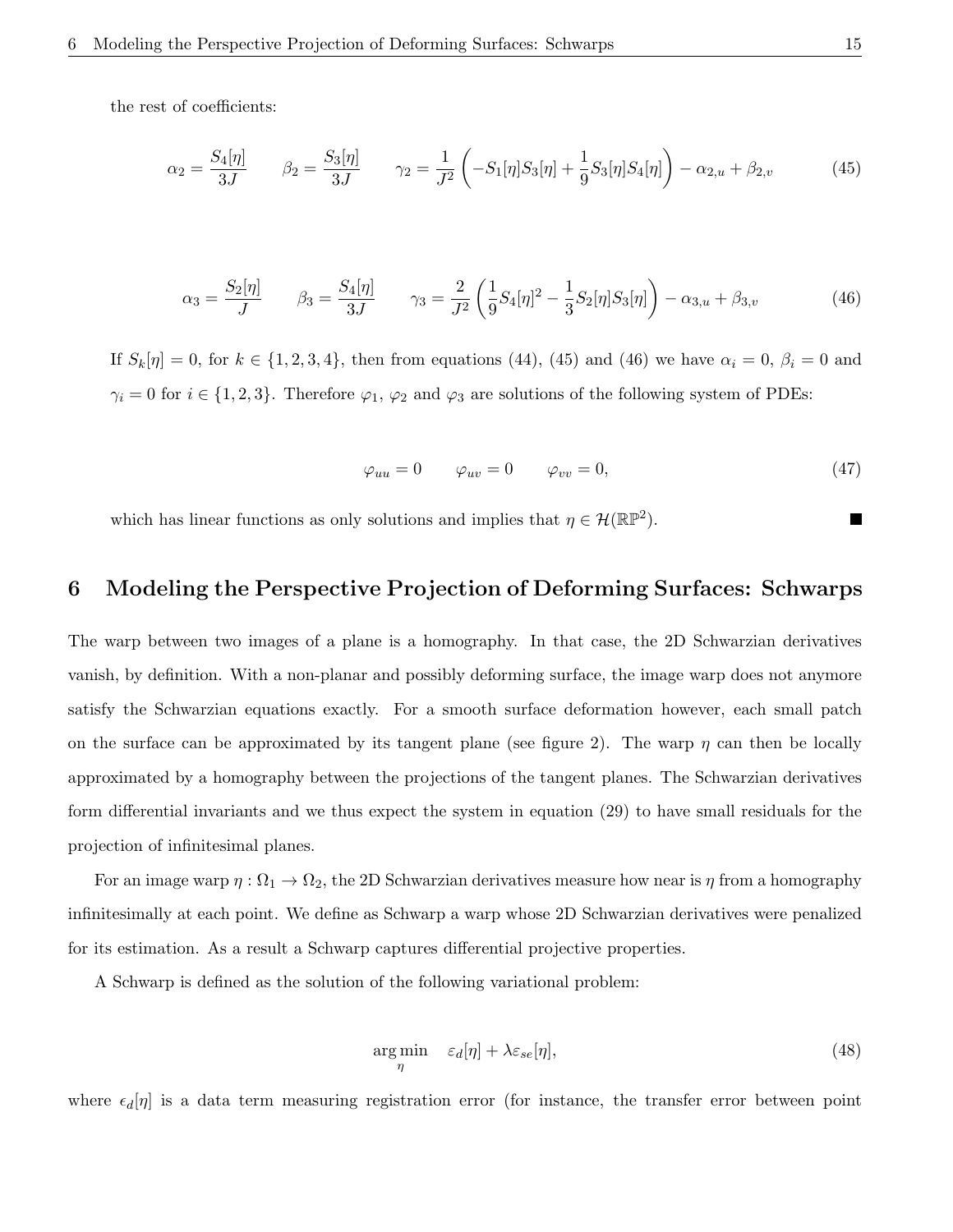the rest of coefficients:

$$
\alpha_2 = \frac{S_4[\eta]}{3J} \qquad \beta_2 = \frac{S_3[\eta]}{3J} \qquad \gamma_2 = \frac{1}{J^2} \left( -S_1[\eta]S_3[\eta] + \frac{1}{9}S_3[\eta]S_4[\eta] \right) - \alpha_{2,u} + \beta_{2,v} \tag{45}
$$

$$
\alpha_3 = \frac{S_2[\eta]}{J} \qquad \beta_3 = \frac{S_4[\eta]}{3J} \qquad \gamma_3 = \frac{2}{J^2} \left( \frac{1}{9} S_4[\eta]^2 - \frac{1}{3} S_2[\eta] S_3[\eta] \right) - \alpha_{3,u} + \beta_{3,v} \tag{46}
$$

If  $S_k[\eta] = 0$ , for  $k \in \{1, 2, 3, 4\}$ , then from equations (44), (45) and (46) we have  $\alpha_i = 0$ ,  $\beta_i = 0$  and  $\gamma_i = 0$  for  $i \in \{1, 2, 3\}$ . Therefore  $\varphi_1$ ,  $\varphi_2$  and  $\varphi_3$  are solutions of the following system of PDEs:

$$
\varphi_{uu} = 0 \qquad \varphi_{uv} = 0 \qquad \varphi_{vv} = 0, \tag{47}
$$

which has linear functions as only solutions and implies that  $\eta \in \mathcal{H}(\mathbb{RP}^2)$ .

# 6 Modeling the Perspective Projection of Deforming Surfaces: Schwarps

The warp between two images of a plane is a homography. In that case, the 2D Schwarzian derivatives vanish, by definition. With a non-planar and possibly deforming surface, the image warp does not anymore satisfy the Schwarzian equations exactly. For a smooth surface deformation however, each small patch on the surface can be approximated by its tangent plane (see figure 2). The warp  $\eta$  can then be locally approximated by a homography between the projections of the tangent planes. The Schwarzian derivatives form differential invariants and we thus expect the system in equation (29) to have small residuals for the projection of infinitesimal planes.

For an image warp  $\eta : \Omega_1 \to \Omega_2$ , the 2D Schwarzian derivatives measure how near is  $\eta$  from a homography infinitesimally at each point. We define as Schwarp a warp whose 2D Schwarzian derivatives were penalized for its estimation. As a result a Schwarp captures differential projective properties.

A Schwarp is defined as the solution of the following variational problem:

$$
\underset{\eta}{\arg\min} \quad \varepsilon_d[\eta] + \lambda \varepsilon_{se}[\eta],\tag{48}
$$

where  $\epsilon_d[\eta]$  is a data term measuring registration error (for instance, the transfer error between point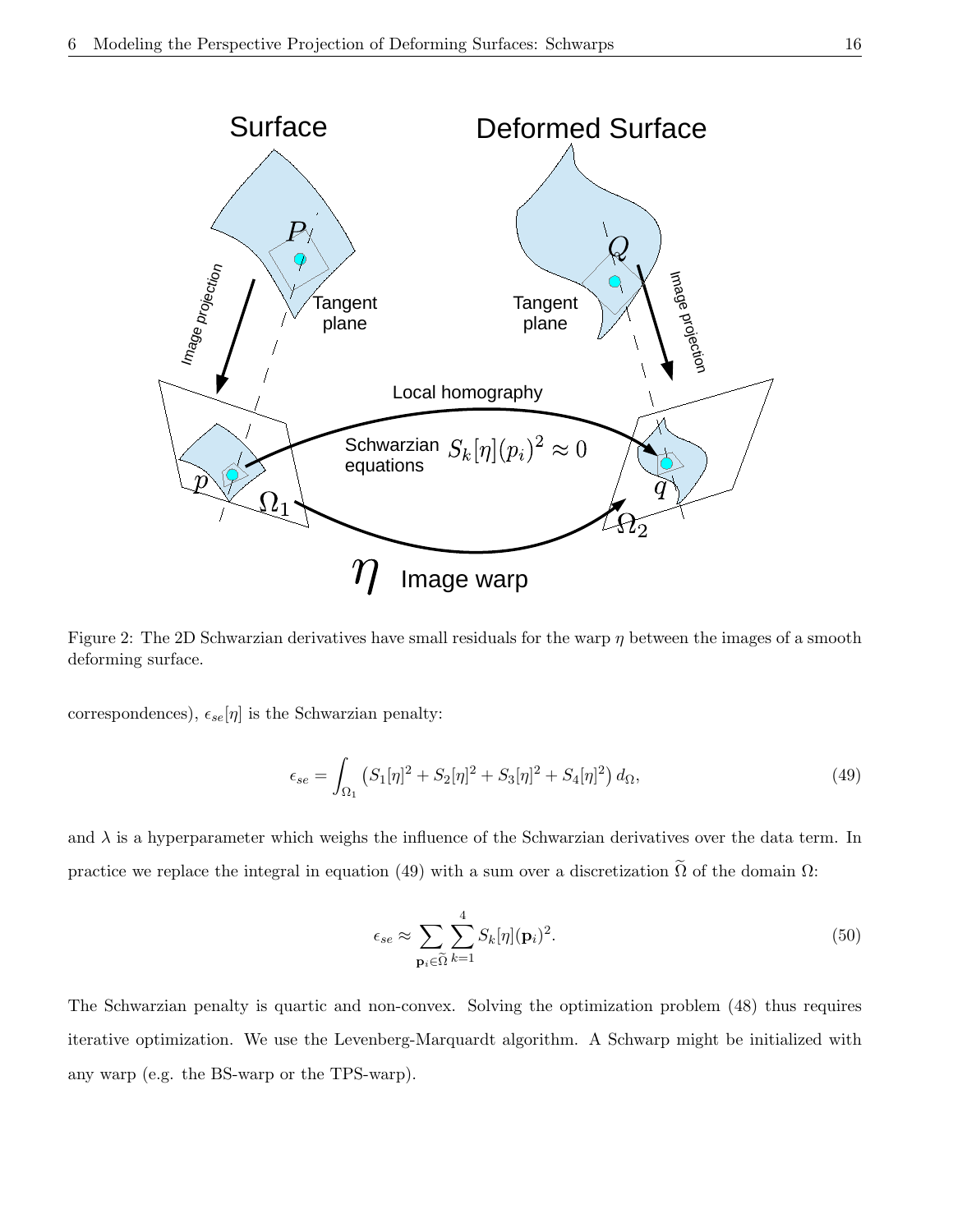

Figure 2: The 2D Schwarzian derivatives have small residuals for the warp  $\eta$  between the images of a smooth deforming surface.

correspondences),  $\epsilon_{se}[\eta]$  is the Schwarzian penalty:

$$
\epsilon_{se} = \int_{\Omega_1} \left( S_1[\eta]^2 + S_2[\eta]^2 + S_3[\eta]^2 + S_4[\eta]^2 \right) d\Omega, \tag{49}
$$

and  $\lambda$  is a hyperparameter which weighs the influence of the Schwarzian derivatives over the data term. In practice we replace the integral in equation (49) with a sum over a discretization  $\tilde{\Omega}$  of the domain  $\Omega$ :

$$
\epsilon_{se} \approx \sum_{\mathbf{p}_i \in \tilde{\Omega}} \sum_{k=1}^4 S_k[\eta](\mathbf{p}_i)^2.
$$
 (50)

The Schwarzian penalty is quartic and non-convex. Solving the optimization problem (48) thus requires iterative optimization. We use the Levenberg-Marquardt algorithm. A Schwarp might be initialized with any warp (e.g. the BS-warp or the TPS-warp).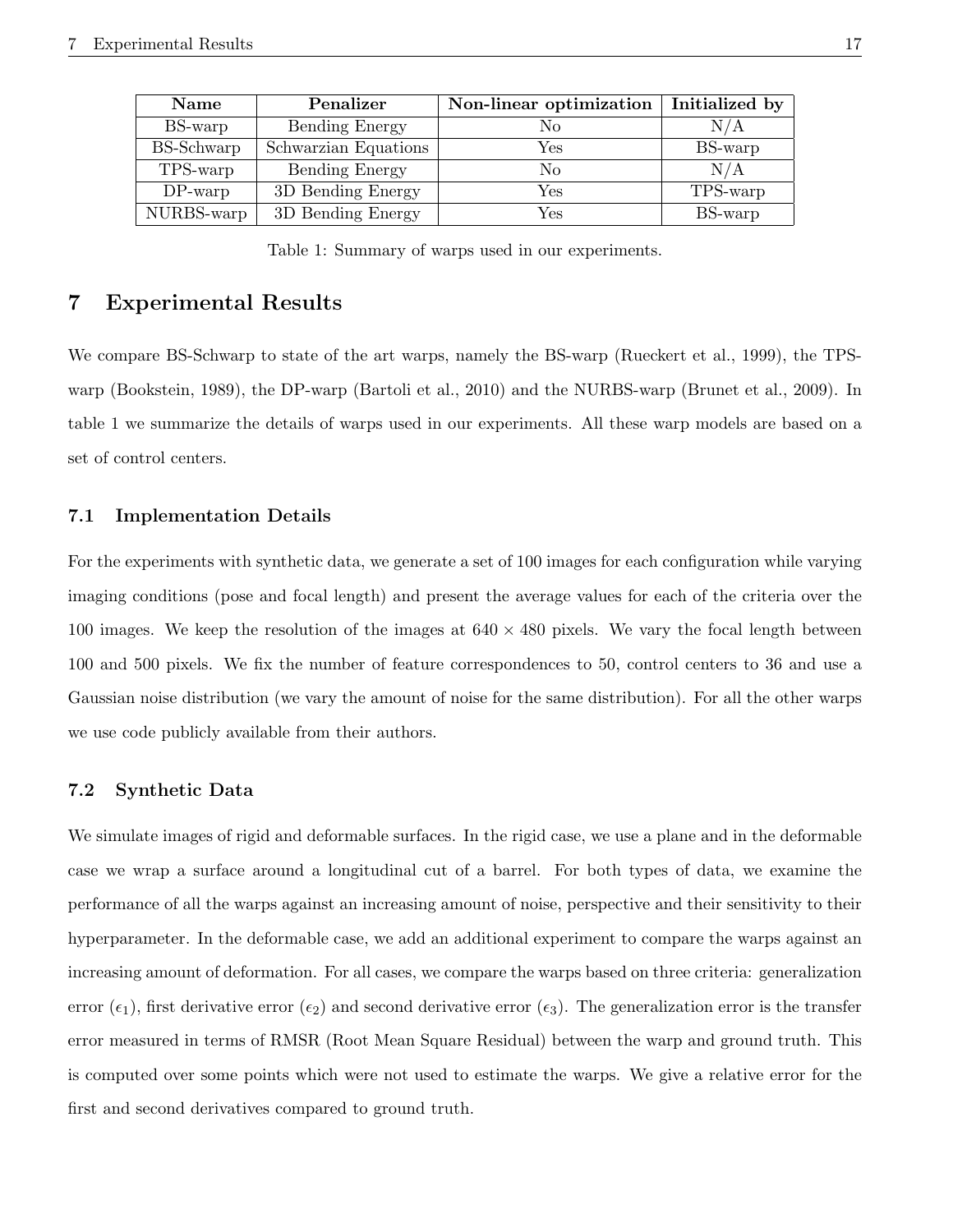| <b>Name</b> | Penalizer            | Non-linear optimization | Initialized by |
|-------------|----------------------|-------------------------|----------------|
| BS-warp     | Bending Energy       | No                      | N/A            |
| BS-Schwarp  | Schwarzian Equations | Yes                     | BS-warp        |
| TPS-warp    | Bending Energy       | Nο                      | N/A            |
| $DP$ -warp  | 3D Bending Energy    | Yes                     | TPS-warp       |
| NURBS-warp  | 3D Bending Energy    | Yes                     | BS-warp        |

Table 1: Summary of warps used in our experiments.

## 7 Experimental Results

We compare BS-Schwarp to state of the art warps, namely the BS-warp (Rueckert et al., 1999), the TPSwarp (Bookstein, 1989), the DP-warp (Bartoli et al., 2010) and the NURBS-warp (Brunet et al., 2009). In table 1 we summarize the details of warps used in our experiments. All these warp models are based on a set of control centers.

### 7.1 Implementation Details

For the experiments with synthetic data, we generate a set of 100 images for each configuration while varying imaging conditions (pose and focal length) and present the average values for each of the criteria over the 100 images. We keep the resolution of the images at  $640 \times 480$  pixels. We vary the focal length between 100 and 500 pixels. We fix the number of feature correspondences to 50, control centers to 36 and use a Gaussian noise distribution (we vary the amount of noise for the same distribution). For all the other warps we use code publicly available from their authors.

### 7.2 Synthetic Data

We simulate images of rigid and deformable surfaces. In the rigid case, we use a plane and in the deformable case we wrap a surface around a longitudinal cut of a barrel. For both types of data, we examine the performance of all the warps against an increasing amount of noise, perspective and their sensitivity to their hyperparameter. In the deformable case, we add an additional experiment to compare the warps against an increasing amount of deformation. For all cases, we compare the warps based on three criteria: generalization error  $(\epsilon_1)$ , first derivative error  $(\epsilon_2)$  and second derivative error  $(\epsilon_3)$ . The generalization error is the transfer error measured in terms of RMSR (Root Mean Square Residual) between the warp and ground truth. This is computed over some points which were not used to estimate the warps. We give a relative error for the first and second derivatives compared to ground truth.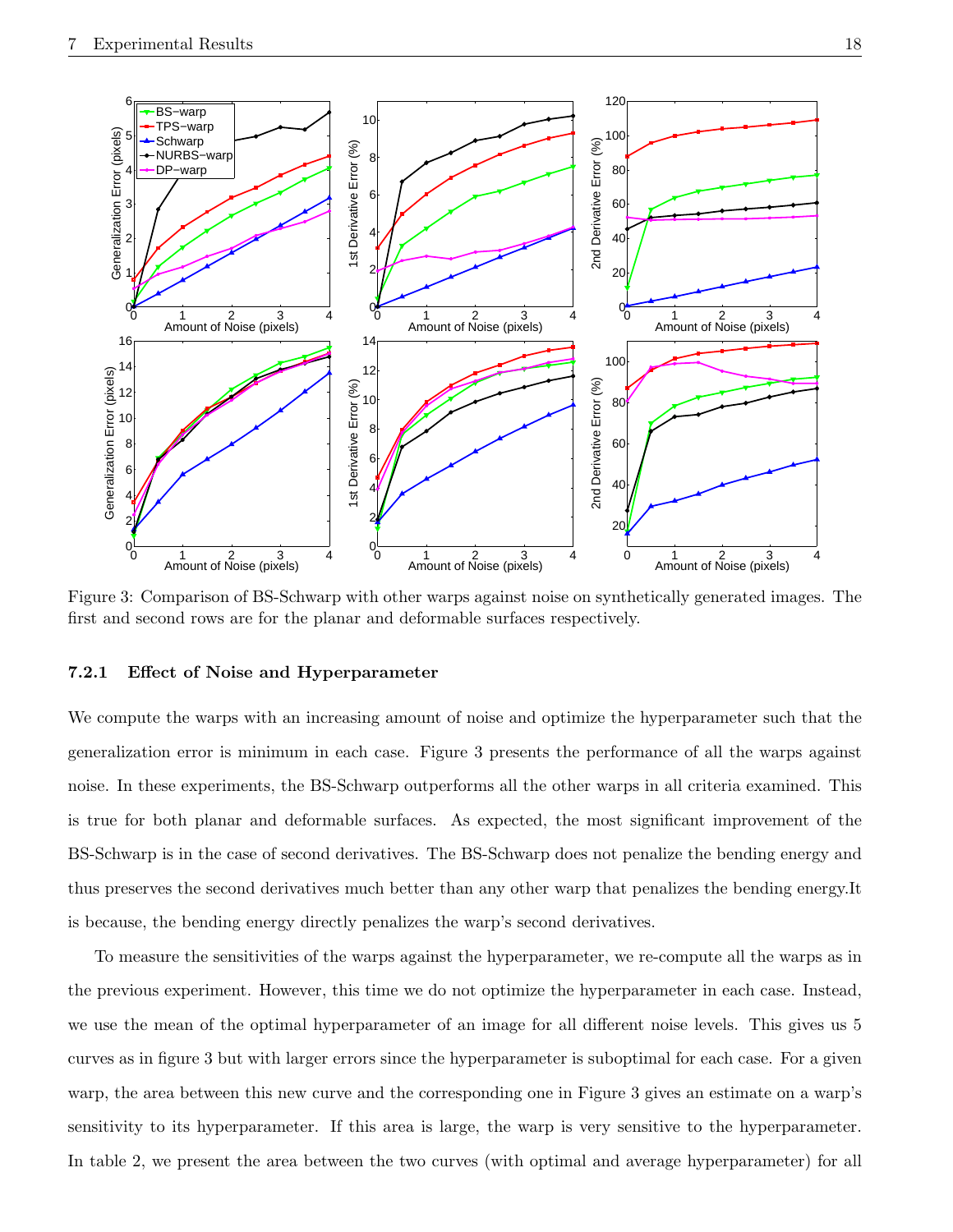

Figure 3: Comparison of BS-Schwarp with other warps against noise on synthetically generated images. The first and second rows are for the planar and deformable surfaces respectively.

### 7.2.1 Effect of Noise and Hyperparameter

We compute the warps with an increasing amount of noise and optimize the hyperparameter such that the generalization error is minimum in each case. Figure 3 presents the performance of all the warps against noise. In these experiments, the BS-Schwarp outperforms all the other warps in all criteria examined. This is true for both planar and deformable surfaces. As expected, the most significant improvement of the BS-Schwarp is in the case of second derivatives. The BS-Schwarp does not penalize the bending energy and thus preserves the second derivatives much better than any other warp that penalizes the bending energy.It is because, the bending energy directly penalizes the warp's second derivatives.

To measure the sensitivities of the warps against the hyperparameter, we re-compute all the warps as in the previous experiment. However, this time we do not optimize the hyperparameter in each case. Instead, we use the mean of the optimal hyperparameter of an image for all different noise levels. This gives us 5 curves as in figure 3 but with larger errors since the hyperparameter is suboptimal for each case. For a given warp, the area between this new curve and the corresponding one in Figure 3 gives an estimate on a warp's sensitivity to its hyperparameter. If this area is large, the warp is very sensitive to the hyperparameter. In table 2, we present the area between the two curves (with optimal and average hyperparameter) for all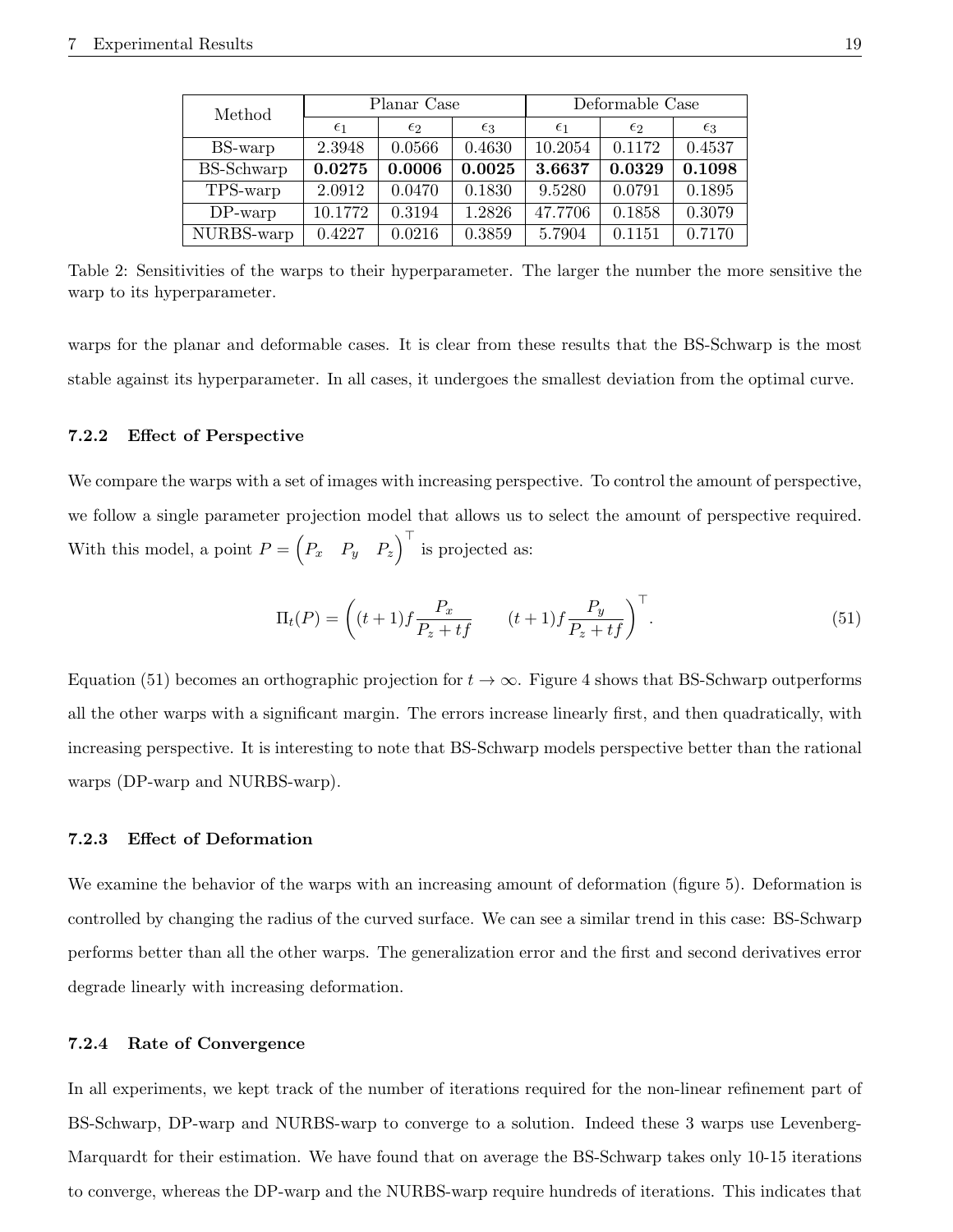| Method            | Planar Case  |              |              | Deformable Case |              |              |
|-------------------|--------------|--------------|--------------|-----------------|--------------|--------------|
|                   | $\epsilon_1$ | $\epsilon$ 2 | $\epsilon_3$ | $\epsilon_1$    | $\epsilon$ 2 | $\epsilon_3$ |
| BS-warp           | 2.3948       | 0.0566       | 0.4630       | 10.2054         | 0.1172       | 0.4537       |
| <b>BS-Schwarp</b> | 0.0275       | 0.0006       | 0.0025       | 3.6637          | 0.0329       | 0.1098       |
| TPS-warp          | 2.0912       | 0.0470       | 0.1830       | 9.5280          | 0.0791       | 0.1895       |
| $DP$ -warp        | 10.1772      | 0.3194       | 1.2826       | 47.7706         | 0.1858       | 0.3079       |
| NURBS-warp        | 0.4227       | 0.0216       | 0.3859       | 5.7904          | 0.1151       | 0.7170       |

Table 2: Sensitivities of the warps to their hyperparameter. The larger the number the more sensitive the warp to its hyperparameter.

warps for the planar and deformable cases. It is clear from these results that the BS-Schwarp is the most stable against its hyperparameter. In all cases, it undergoes the smallest deviation from the optimal curve.

### 7.2.2 Effect of Perspective

We compare the warps with a set of images with increasing perspective. To control the amount of perspective, we follow a single parameter projection model that allows us to select the amount of perspective required. With this model, a point  $P = \begin{pmatrix} P_x & P_y & P_z \end{pmatrix}^\top$  is projected as:

$$
\Pi_t(P) = \left( (t+1)f \frac{P_x}{P_z + tf} \qquad (t+1)f \frac{P_y}{P_z + tf} \right)^\top.
$$
\n(51)

Equation (51) becomes an orthographic projection for  $t \to \infty$ . Figure 4 shows that BS-Schwarp outperforms all the other warps with a significant margin. The errors increase linearly first, and then quadratically, with increasing perspective. It is interesting to note that BS-Schwarp models perspective better than the rational warps (DP-warp and NURBS-warp).

### 7.2.3 Effect of Deformation

We examine the behavior of the warps with an increasing amount of deformation (figure 5). Deformation is controlled by changing the radius of the curved surface. We can see a similar trend in this case: BS-Schwarp performs better than all the other warps. The generalization error and the first and second derivatives error degrade linearly with increasing deformation.

#### 7.2.4 Rate of Convergence

In all experiments, we kept track of the number of iterations required for the non-linear refinement part of BS-Schwarp, DP-warp and NURBS-warp to converge to a solution. Indeed these 3 warps use Levenberg-Marquardt for their estimation. We have found that on average the BS-Schwarp takes only 10-15 iterations to converge, whereas the DP-warp and the NURBS-warp require hundreds of iterations. This indicates that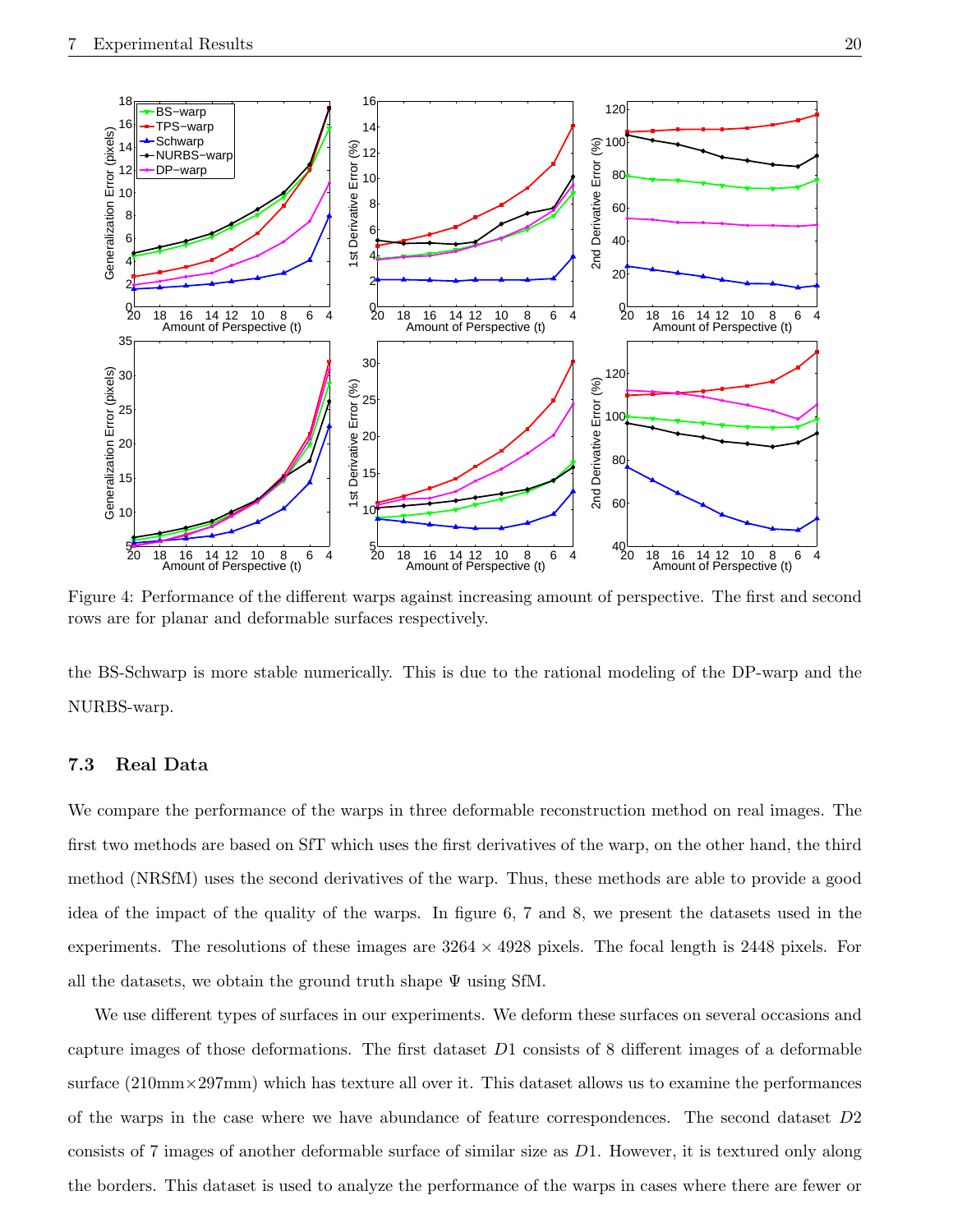

Figure 4: Performance of the different warps against increasing amount of perspective. The first and second rows are for planar and deformable surfaces respectively.

the BS-Schwarp is more stable numerically. This is due to the rational modeling of the DP-warp and the NURBS-warp.

### 7.3 Real Data

We compare the performance of the warps in three deformable reconstruction method on real images. The first two methods are based on SfT which uses the first derivatives of the warp, on the other hand, the third method (NRSfM) uses the second derivatives of the warp. Thus, these methods are able to provide a good idea of the impact of the quality of the warps. In figure 6, 7 and 8, we present the datasets used in the experiments. The resolutions of these images are  $3264 \times 4928$  pixels. The focal length is 2448 pixels. For all the datasets, we obtain the ground truth shape  $\Psi$  using SfM.

We use different types of surfaces in our experiments. We deform these surfaces on several occasions and capture images of those deformations. The first dataset D1 consists of 8 different images of a deformable surface  $(210\text{mm}\times297\text{mm})$  which has texture all over it. This dataset allows us to examine the performances of the warps in the case where we have abundance of feature correspondences. The second dataset D2 consists of 7 images of another deformable surface of similar size as D1. However, it is textured only along the borders. This dataset is used to analyze the performance of the warps in cases where there are fewer or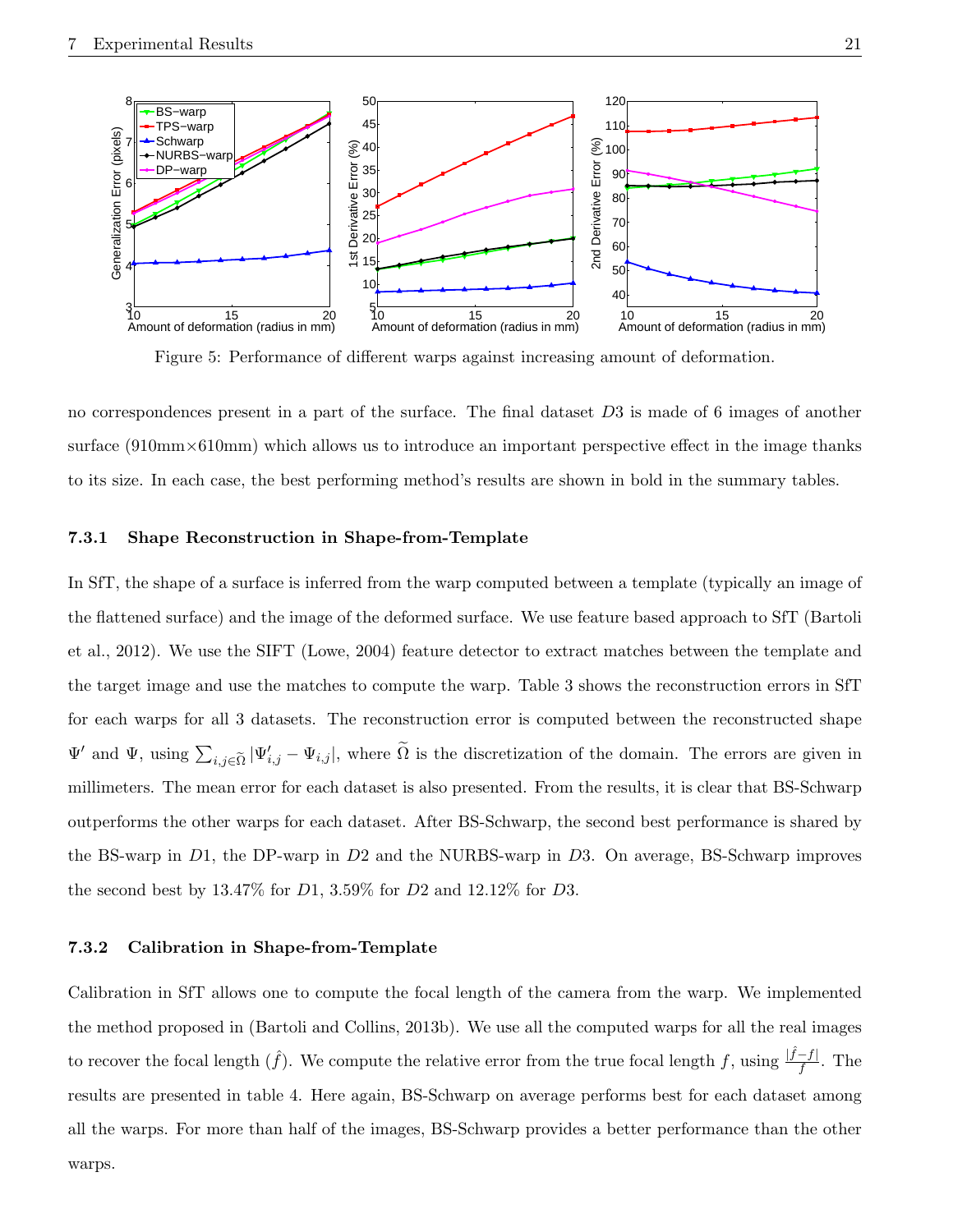

Figure 5: Performance of different warps against increasing amount of deformation.

no correspondences present in a part of the surface. The final dataset D3 is made of 6 images of another surface (910mm×610mm) which allows us to introduce an important perspective effect in the image thanks to its size. In each case, the best performing method's results are shown in bold in the summary tables.

#### 7.3.1 Shape Reconstruction in Shape-from-Template

In SfT, the shape of a surface is inferred from the warp computed between a template (typically an image of the flattened surface) and the image of the deformed surface. We use feature based approach to SfT (Bartoli et al., 2012). We use the SIFT (Lowe, 2004) feature detector to extract matches between the template and the target image and use the matches to compute the warp. Table 3 shows the reconstruction errors in SfT for each warps for all 3 datasets. The reconstruction error is computed between the reconstructed shape  $\Psi'$  and  $\Psi$ , using  $\sum_{i,j\in\tilde{\Omega}}|\Psi'_{i,j}-\Psi_{i,j}|$ , where  $\tilde{\Omega}$  is the discretization of the domain. The errors are given in millimeters. The mean error for each dataset is also presented. From the results, it is clear that BS-Schwarp outperforms the other warps for each dataset. After BS-Schwarp, the second best performance is shared by the BS-warp in D1, the DP-warp in D2 and the NURBS-warp in D3. On average, BS-Schwarp improves the second best by  $13.47\%$  for  $D1$ ,  $3.59\%$  for  $D2$  and  $12.12\%$  for  $D3$ .

### 7.3.2 Calibration in Shape-from-Template

Calibration in SfT allows one to compute the focal length of the camera from the warp. We implemented the method proposed in (Bartoli and Collins, 2013b). We use all the computed warps for all the real images to recover the focal length  $(\hat{f})$ . We compute the relative error from the true focal length f, using  $\frac{|\hat{f}-f|}{f}$ . The results are presented in table 4. Here again, BS-Schwarp on average performs best for each dataset among all the warps. For more than half of the images, BS-Schwarp provides a better performance than the other warps.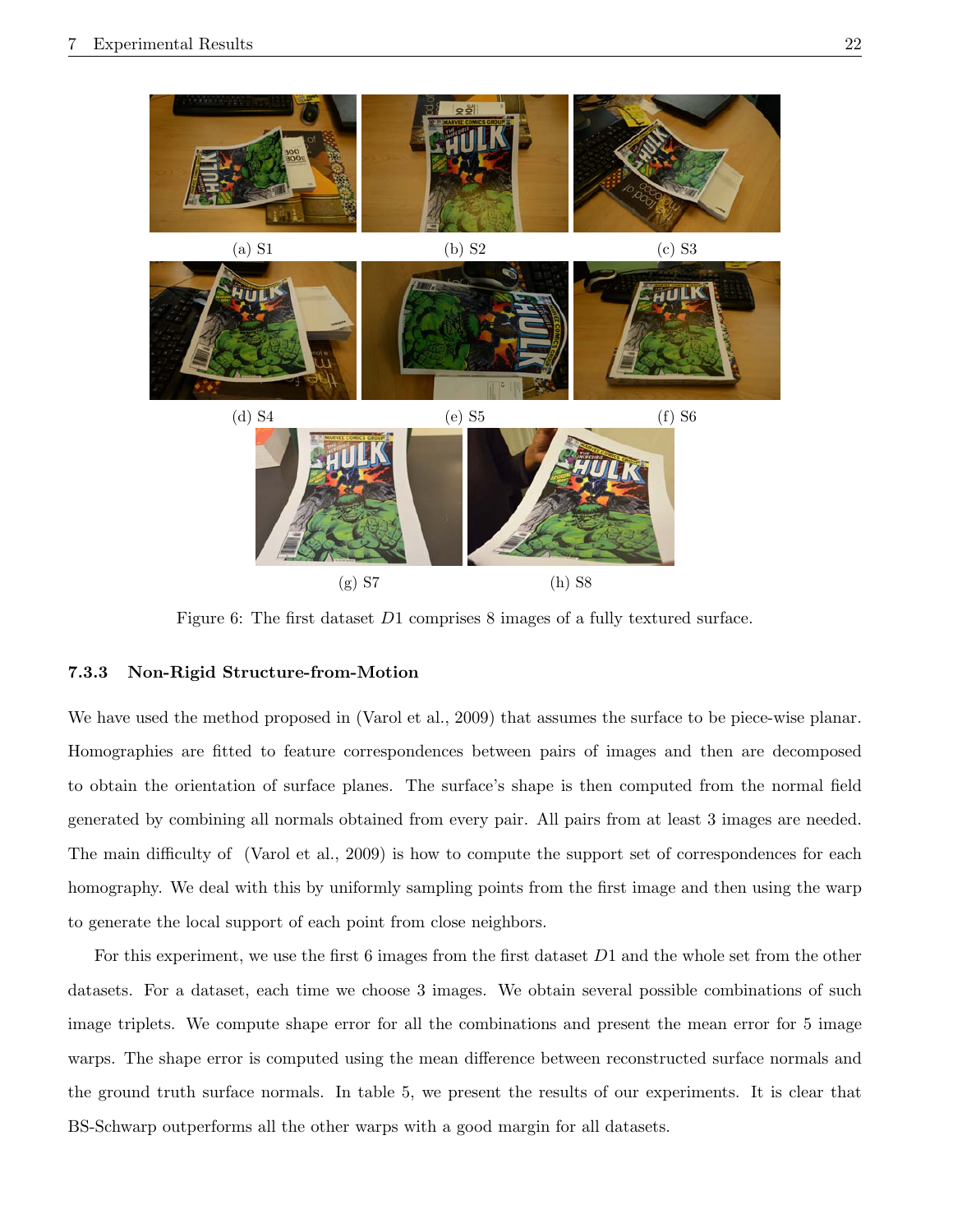

Figure 6: The first dataset D1 comprises 8 images of a fully textured surface.

### 7.3.3 Non-Rigid Structure-from-Motion

We have used the method proposed in (Varol et al., 2009) that assumes the surface to be piece-wise planar. Homographies are fitted to feature correspondences between pairs of images and then are decomposed to obtain the orientation of surface planes. The surface's shape is then computed from the normal field generated by combining all normals obtained from every pair. All pairs from at least 3 images are needed. The main difficulty of (Varol et al., 2009) is how to compute the support set of correspondences for each homography. We deal with this by uniformly sampling points from the first image and then using the warp to generate the local support of each point from close neighbors.

For this experiment, we use the first 6 images from the first dataset D1 and the whole set from the other datasets. For a dataset, each time we choose 3 images. We obtain several possible combinations of such image triplets. We compute shape error for all the combinations and present the mean error for 5 image warps. The shape error is computed using the mean difference between reconstructed surface normals and the ground truth surface normals. In table 5, we present the results of our experiments. It is clear that BS-Schwarp outperforms all the other warps with a good margin for all datasets.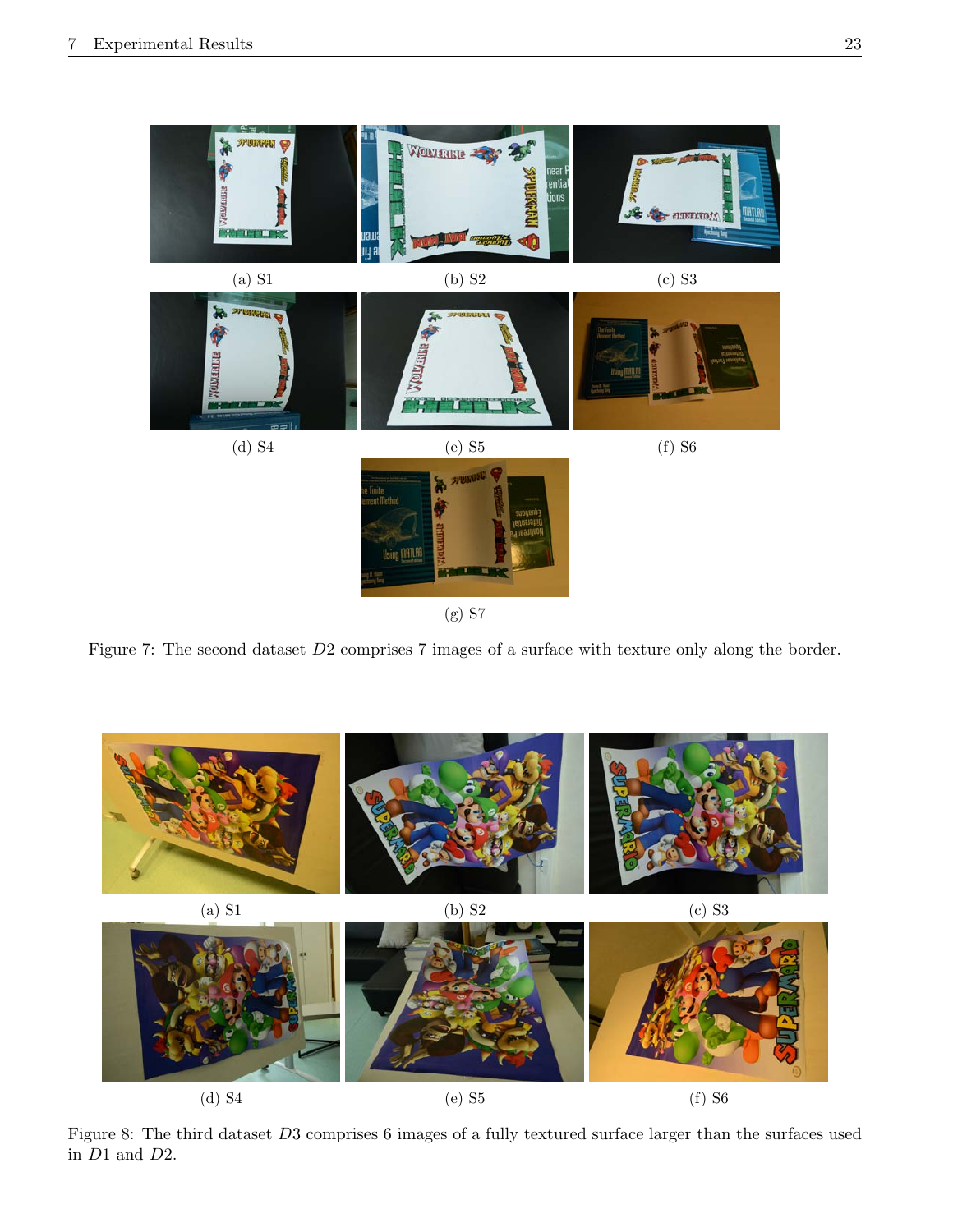

(g) S7

Figure 7: The second dataset  $D2$  comprises 7 images of a surface with texture only along the border.



Figure 8: The third dataset D3 comprises 6 images of a fully textured surface larger than the surfaces used in D1 and D2.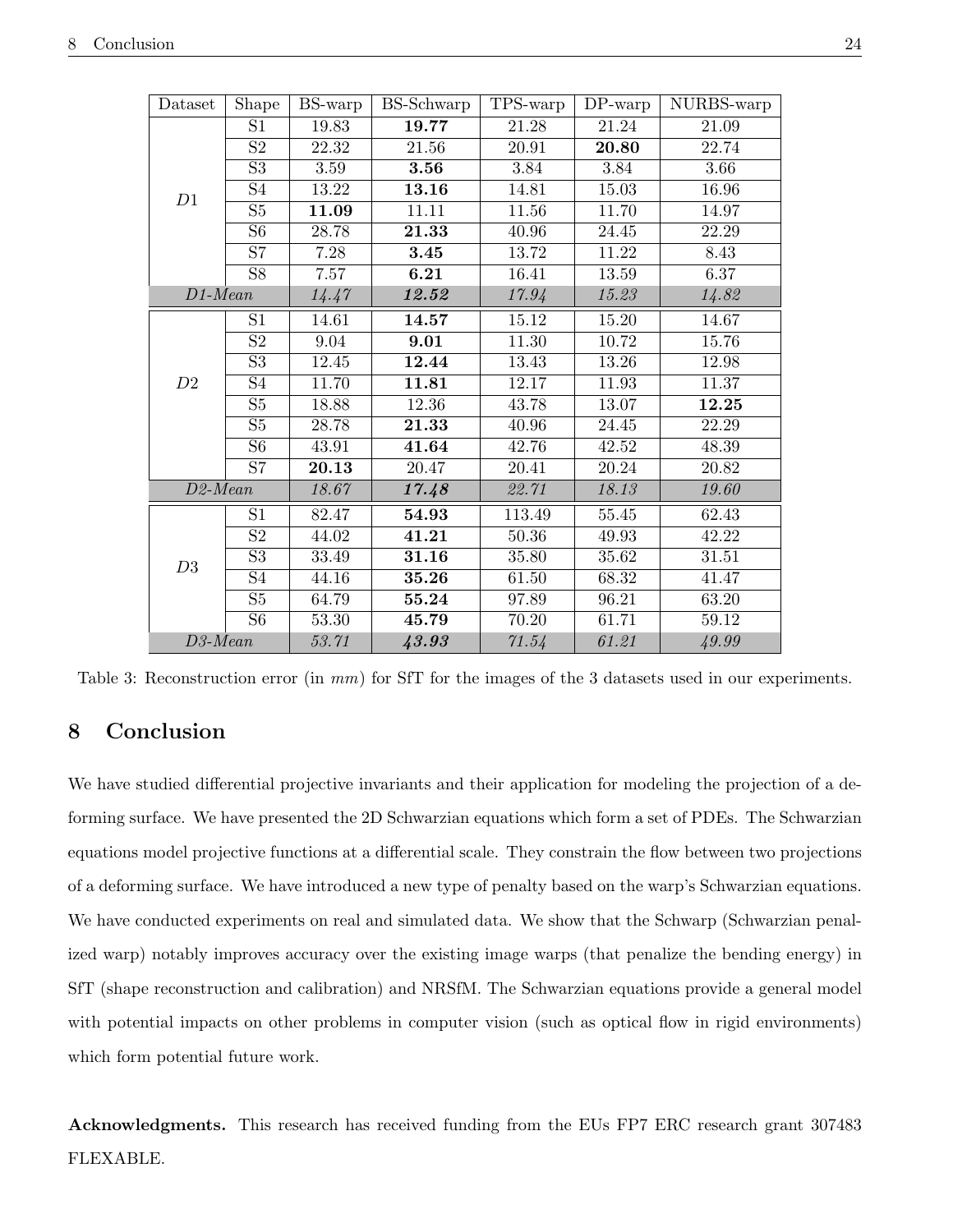| Shape<br>Dataset |                 | BS-warp | BS-Schwarp | TPS-warp | $DP$ -warp | NURBS-warp |
|------------------|-----------------|---------|------------|----------|------------|------------|
|                  | S1              | 19.83   | 19.77      | 21.28    | 21.24      | 21.09      |
|                  | $\overline{S2}$ | 22.32   | 21.56      | 20.91    | 20.80      | 22.74      |
|                  | $\overline{S3}$ | 3.59    | 3.56       | 3.84     | 3.84       | 3.66       |
| D1               | $\overline{S4}$ | 13.22   | 13.16      | 14.81    | 15.03      | 16.96      |
|                  | $\overline{S5}$ | 11.09   | 11.11      | 11.56    | 11.70      | 14.97      |
|                  | $\overline{S6}$ | 28.78   | 21.33      | 40.96    | 24.45      | 22.29      |
|                  | $\overline{S7}$ | 7.28    | 3.45       | 13.72    | 11.22      | 8.43       |
|                  | $\overline{S8}$ | 7.57    | 6.21       | 16.41    | 13.59      | 6.37       |
| $D1$ -Mean       |                 | 14.47   | 12.52      | 17.94    | 15.23      | 14.82      |
|                  | S1              | 14.61   | 14.57      | 15.12    | 15.20      | 14.67      |
|                  | $\overline{S2}$ | 9.04    | 9.01       | 11.30    | 10.72      | 15.76      |
|                  | $\overline{S3}$ | 12.45   | 12.44      | 13.43    | 13.26      | 12.98      |
| D2               | S4              | 11.70   | 11.81      | 12.17    | 11.93      | 11.37      |
|                  | $\overline{S5}$ | 18.88   | 12.36      | 43.78    | 13.07      | 12.25      |
|                  | $\overline{S5}$ | 28.78   | 21.33      | 40.96    | 24.45      | 22.29      |
|                  | S <sub>6</sub>  | 43.91   | 41.64      | 42.76    | 42.52      | 48.39      |
|                  | $\overline{S7}$ | 20.13   | 20.47      | 20.41    | 20.24      | 20.82      |
| $D2$ -Mean       |                 | 18.67   | 17.48      | 22.71    | 18.13      | 19.60      |
|                  | S1              | 82.47   | 54.93      | 113.49   | 55.45      | 62.43      |
|                  | $\overline{S2}$ | 44.02   | 41.21      | 50.36    | 49.93      | 42.22      |
| D3               | $\overline{S3}$ | 33.49   | 31.16      | 35.80    | 35.62      | 31.51      |
|                  | S <sub>4</sub>  | 44.16   | 35.26      | 61.50    | 68.32      | 41.47      |
|                  | $\overline{S5}$ | 64.79   | 55.24      | 97.89    | 96.21      | 63.20      |
|                  | $\overline{S6}$ | 53.30   | 45.79      | 70.20    | 61.71      | 59.12      |
| $D3$ -Mean       |                 | 53.71   | 43.93      | 71.54    | 61.21      | 49.99      |

Table 3: Reconstruction error (in mm) for SfT for the images of the 3 datasets used in our experiments.

# 8 Conclusion

We have studied differential projective invariants and their application for modeling the projection of a deforming surface. We have presented the 2D Schwarzian equations which form a set of PDEs. The Schwarzian equations model projective functions at a differential scale. They constrain the flow between two projections of a deforming surface. We have introduced a new type of penalty based on the warp's Schwarzian equations. We have conducted experiments on real and simulated data. We show that the Schwarp (Schwarzian penalized warp) notably improves accuracy over the existing image warps (that penalize the bending energy) in SfT (shape reconstruction and calibration) and NRSfM. The Schwarzian equations provide a general model with potential impacts on other problems in computer vision (such as optical flow in rigid environments) which form potential future work.

Acknowledgments. This research has received funding from the EUs FP7 ERC research grant 307483 FLEXABLE.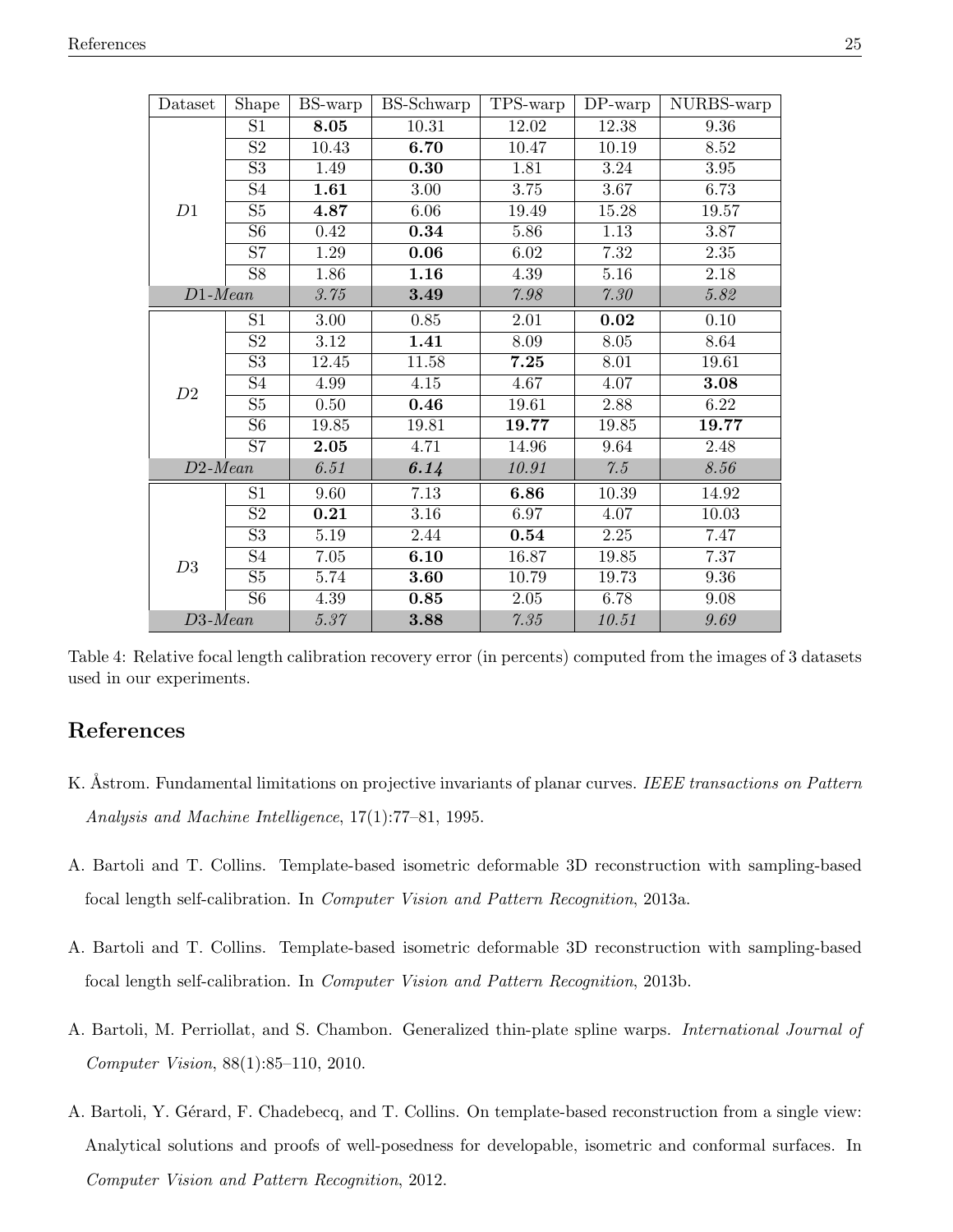| Dataset    | Shape                    | BS-warp  | <b>BS-Schwarp</b> | TPS-warp           | $DP$ -warp | NURBS-warp |
|------------|--------------------------|----------|-------------------|--------------------|------------|------------|
|            | S1                       | 8.05     | 10.31             | 12.02              | 12.38      | 9.36       |
|            | $\overline{S2}$          | 10.43    | 6.70              | 10.47              | 10.19      | 8.52       |
|            | $\overline{S3}$          | 1.49     | 0.30              | 1.81               | 3.24       | 3.95       |
|            | $\overline{S4}$          | 1.61     | 3.00              | 3.75               | 3.67       | 6.73       |
| D1         | $\overline{S5}$          | 4.87     | 6.06              | 19.49              | 15.28      | 19.57      |
|            | $\overline{\text{S6}}$   | 0.42     | 0.34              | 5.86               | 1.13       | 3.87       |
|            | $\overline{S7}$          | 1.29     | 0.06              | 6.02               | 7.32       | 2.35       |
|            | $\overline{S8}$          | 1.86     | 1.16              | 4.39               | $5.16\,$   | 2.18       |
| $D1$ -Mean |                          | 3.75     | 3.49              | $7.98\,$           | $7.30\,$   | 5.82       |
|            | S1                       | $3.00\,$ | $0.85\,$          | $2.01\,$           | $\bf 0.02$ | 0.10       |
|            | $\overline{S2}$          | 3.12     | 1.41              | 8.09               | 8.05       | 8.64       |
|            | $\overline{S3}$          | 12.45    | 11.58             | 7.25               | 8.01       | 19.61      |
| D2         | $\overline{S4}$          | 4.99     | 4.15              | 4.67               | 4.07       | 3.08       |
|            | S5                       | 0.50     | 0.46              | 19.61              | 2.88       | 6.22       |
|            | $\overline{\mathrm{S6}}$ | 19.85    | 19.81             | $\overline{19.77}$ | 19.85      | 19.77      |
|            | $\overline{S7}$          | 2.05     | 4.71              | 14.96              | 9.64       | 2.48       |
| $D2$ -Mean |                          | 6.51     | 6.14              | 10.91              | 7.5        | 8.56       |
|            | S1                       | 9.60     | 7.13              | 6.86               | 10.39      | 14.92      |
|            | $\overline{S2}$          | 0.21     | 3.16              | 6.97               | 4.07       | 10.03      |
|            | $\overline{S3}$          | 5.19     | 2.44              | 0.54               | 2.25       | 7.47       |
| D3         | S <sub>4</sub>           | 7.05     | 6.10              | 16.87              | 19.85      | 7.37       |
|            | $\overline{S5}$          | 5.74     | 3.60              | 10.79              | 19.73      | 9.36       |
|            | $\overline{S6}$          | 4.39     | $\bf 0.85$        | 2.05               | 6.78       | $9.08\,$   |
| $D3$ -Mean |                          | 5.37     | 3.88              | 7.35               | 10.51      | 9.69       |

Table 4: Relative focal length calibration recovery error (in percents) computed from the images of 3 datasets used in our experiments.

# References

- K. Astrom. Fundamental limitations on projective invariants of planar curves. IEEE transactions on Pattern Analysis and Machine Intelligence, 17(1):77–81, 1995.
- A. Bartoli and T. Collins. Template-based isometric deformable 3D reconstruction with sampling-based focal length self-calibration. In Computer Vision and Pattern Recognition, 2013a.
- A. Bartoli and T. Collins. Template-based isometric deformable 3D reconstruction with sampling-based focal length self-calibration. In Computer Vision and Pattern Recognition, 2013b.
- A. Bartoli, M. Perriollat, and S. Chambon. Generalized thin-plate spline warps. International Journal of Computer Vision, 88(1):85–110, 2010.
- A. Bartoli, Y. Gérard, F. Chadebecq, and T. Collins. On template-based reconstruction from a single view: Analytical solutions and proofs of well-posedness for developable, isometric and conformal surfaces. In Computer Vision and Pattern Recognition, 2012.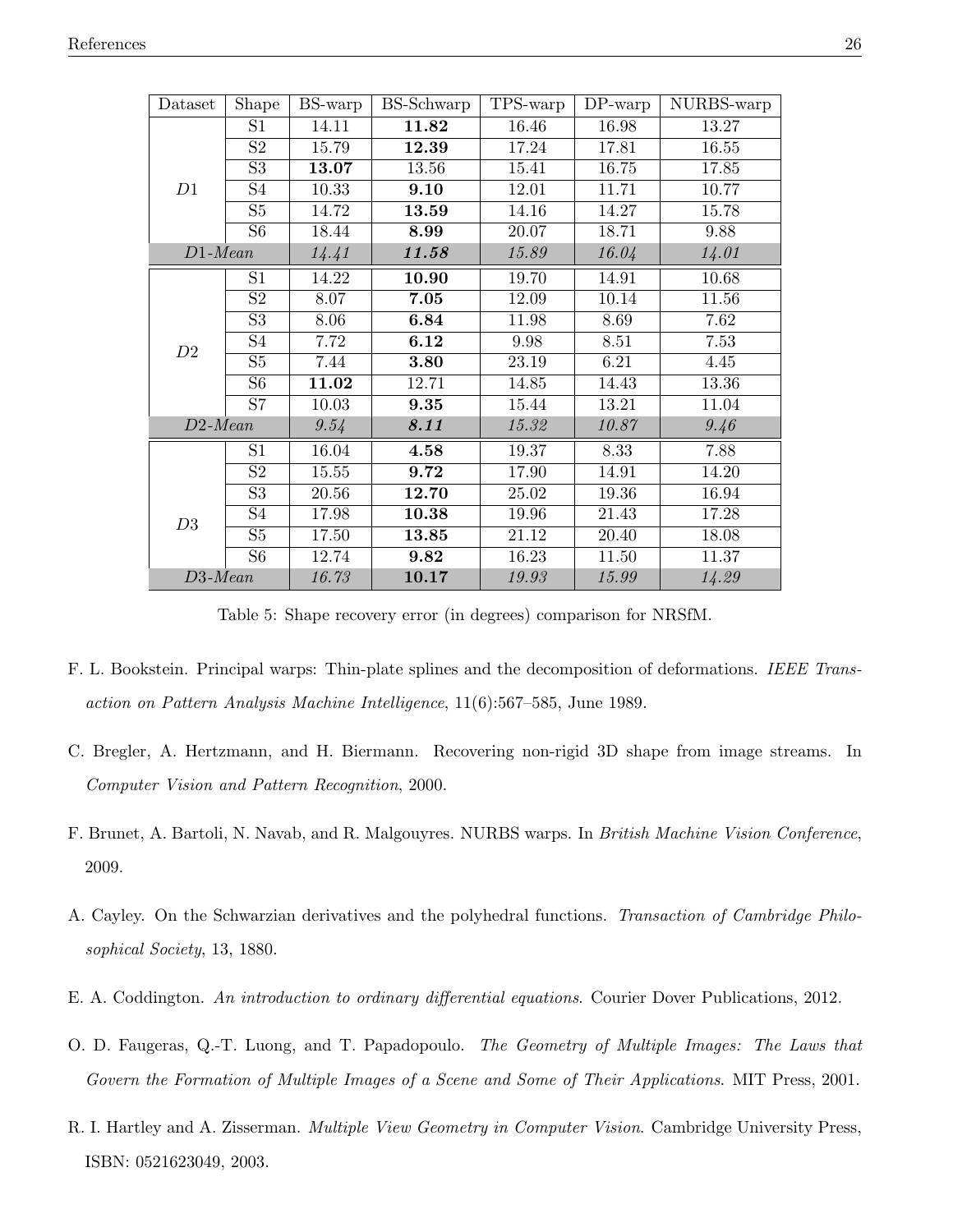| Dataset    | Shape                    | BS-warp | BS-Schwarp | TPS-warp | $DP$ -warp | NURBS-warp |
|------------|--------------------------|---------|------------|----------|------------|------------|
|            | S <sub>1</sub>           | 14.11   | 11.82      | 16.46    | 16.98      | 13.27      |
|            | $\overline{S2}$          | 15.79   | 12.39      | 17.24    | 17.81      | 16.55      |
|            | S3                       | 13.07   | 13.56      | 15.41    | 16.75      | 17.85      |
| D1         | S4                       | 10.33   | 9.10       | 12.01    | 11.71      | 10.77      |
|            | $\overline{S5}$          | 14.72   | 13.59      | 14.16    | 14.27      | 15.78      |
|            | $\overline{\mathrm{S6}}$ | 18.44   | 8.99       | 20.07    | 18.71      | 9.88       |
| $D1-Mean$  |                          | 14.41   | 11.58      | 15.89    | 16.04      | 14.01      |
|            | S <sub>1</sub>           | 14.22   | 10.90      | 19.70    | 14.91      | 10.68      |
|            | $\overline{S2}$          | 8.07    | 7.05       | 12.09    | 10.14      | 11.56      |
|            | $\overline{\mathrm{S}3}$ | 8.06    | 6.84       | 11.98    | 8.69       | 7.62       |
| D2         | S4                       | 7.72    | 6.12       | 9.98     | 8.51       | 7.53       |
|            | S <sub>5</sub>           | 7.44    | 3.80       | 23.19    | 6.21       | 4.45       |
|            | S <sub>6</sub>           | 11.02   | 12.71      | 14.85    | 14.43      | 13.36      |
|            | S7                       | 10.03   | 9.35       | 15.44    | 13.21      | 11.04      |
| $D2$ -Mean |                          | 9.54    | 8.11       | 15.32    | 10.87      | 9.46       |
|            | S <sub>1</sub>           | 16.04   | 4.58       | 19.37    | 8.33       | 7.88       |
|            | $\overline{S2}$          | 15.55   | 9.72       | 17.90    | 14.91      | 14.20      |
|            | $\overline{\mathrm{S}3}$ | 20.56   | 12.70      | 25.02    | 19.36      | 16.94      |
| D3         | S4                       | 17.98   | 10.38      | 19.96    | 21.43      | 17.28      |
|            | S <sub>5</sub>           | 17.50   | 13.85      | 21.12    | 20.40      | 18.08      |
|            | S <sub>6</sub>           | 12.74   | 9.82       | 16.23    | 11.50      | 11.37      |
| $D3$ -Mean |                          | 16.73   | 10.17      | 19.93    | 15.99      | 14.29      |

Table 5: Shape recovery error (in degrees) comparison for NRSfM.

- F. L. Bookstein. Principal warps: Thin-plate splines and the decomposition of deformations. IEEE Transaction on Pattern Analysis Machine Intelligence, 11(6):567–585, June 1989.
- C. Bregler, A. Hertzmann, and H. Biermann. Recovering non-rigid 3D shape from image streams. In Computer Vision and Pattern Recognition, 2000.
- F. Brunet, A. Bartoli, N. Navab, and R. Malgouyres. NURBS warps. In British Machine Vision Conference, 2009.
- A. Cayley. On the Schwarzian derivatives and the polyhedral functions. Transaction of Cambridge Philosophical Society, 13, 1880.
- E. A. Coddington. An introduction to ordinary differential equations. Courier Dover Publications, 2012.
- O. D. Faugeras, Q.-T. Luong, and T. Papadopoulo. The Geometry of Multiple Images: The Laws that Govern the Formation of Multiple Images of a Scene and Some of Their Applications. MIT Press, 2001.
- R. I. Hartley and A. Zisserman. Multiple View Geometry in Computer Vision. Cambridge University Press, ISBN: 0521623049, 2003.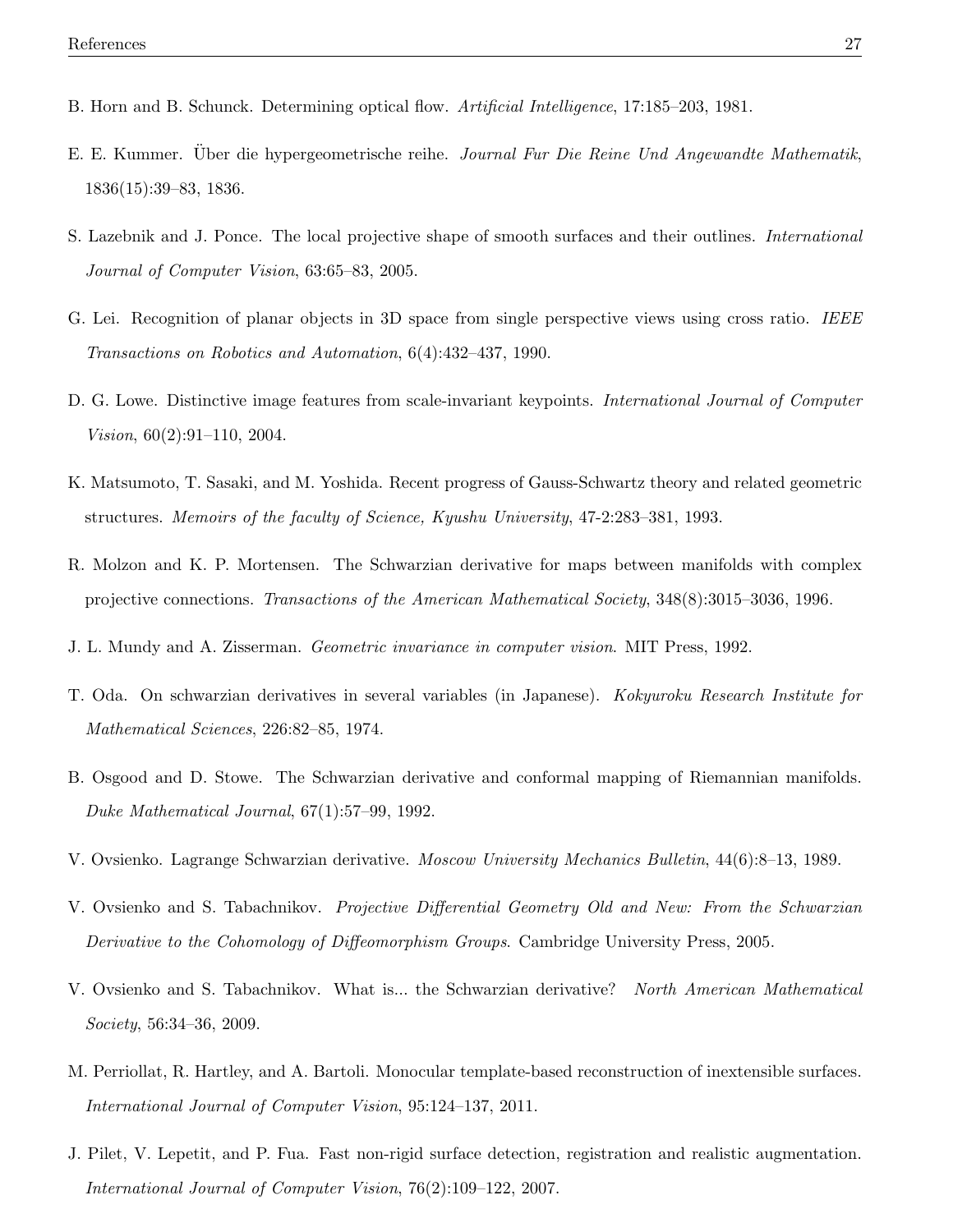- B. Horn and B. Schunck. Determining optical flow. Artificial Intelligence, 17:185–203, 1981.
- E. E. Kummer. Über die hypergeometrische reihe. Journal Fur Die Reine Und Angewandte Mathematik, 1836(15):39–83, 1836.
- S. Lazebnik and J. Ponce. The local projective shape of smooth surfaces and their outlines. International Journal of Computer Vision, 63:65–83, 2005.
- G. Lei. Recognition of planar objects in 3D space from single perspective views using cross ratio. IEEE Transactions on Robotics and Automation, 6(4):432–437, 1990.
- D. G. Lowe. Distinctive image features from scale-invariant keypoints. International Journal of Computer Vision, 60(2):91–110, 2004.
- K. Matsumoto, T. Sasaki, and M. Yoshida. Recent progress of Gauss-Schwartz theory and related geometric structures. Memoirs of the faculty of Science, Kyushu University, 47-2:283–381, 1993.
- R. Molzon and K. P. Mortensen. The Schwarzian derivative for maps between manifolds with complex projective connections. Transactions of the American Mathematical Society, 348(8):3015–3036, 1996.
- J. L. Mundy and A. Zisserman. Geometric invariance in computer vision. MIT Press, 1992.
- T. Oda. On schwarzian derivatives in several variables (in Japanese). Kokyuroku Research Institute for Mathematical Sciences, 226:82–85, 1974.
- B. Osgood and D. Stowe. The Schwarzian derivative and conformal mapping of Riemannian manifolds. Duke Mathematical Journal, 67(1):57–99, 1992.
- V. Ovsienko. Lagrange Schwarzian derivative. Moscow University Mechanics Bulletin, 44(6):8–13, 1989.
- V. Ovsienko and S. Tabachnikov. Projective Differential Geometry Old and New: From the Schwarzian Derivative to the Cohomology of Diffeomorphism Groups. Cambridge University Press, 2005.
- V. Ovsienko and S. Tabachnikov. What is... the Schwarzian derivative? North American Mathematical Society, 56:34–36, 2009.
- M. Perriollat, R. Hartley, and A. Bartoli. Monocular template-based reconstruction of inextensible surfaces. International Journal of Computer Vision, 95:124–137, 2011.
- J. Pilet, V. Lepetit, and P. Fua. Fast non-rigid surface detection, registration and realistic augmentation. International Journal of Computer Vision, 76(2):109–122, 2007.